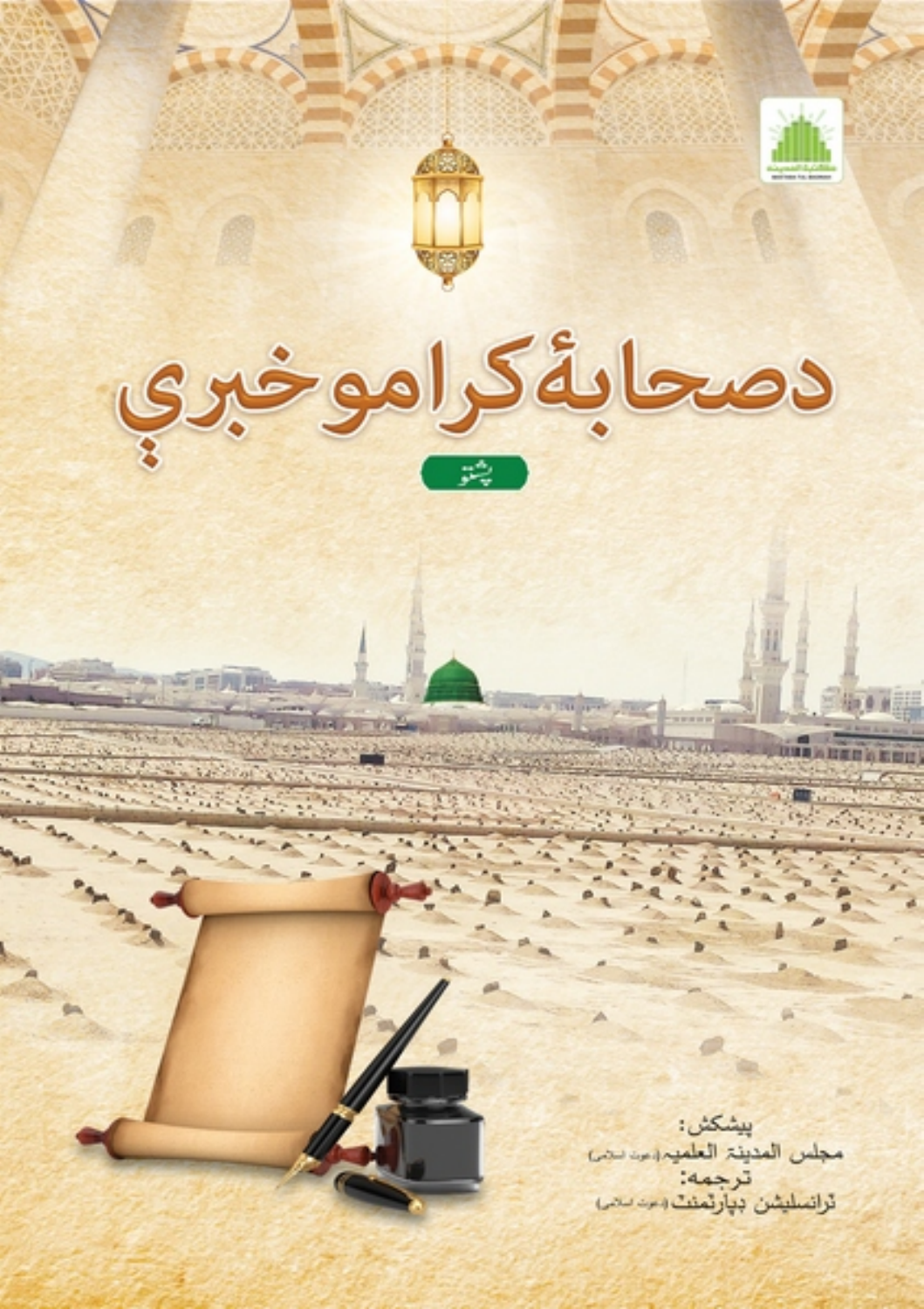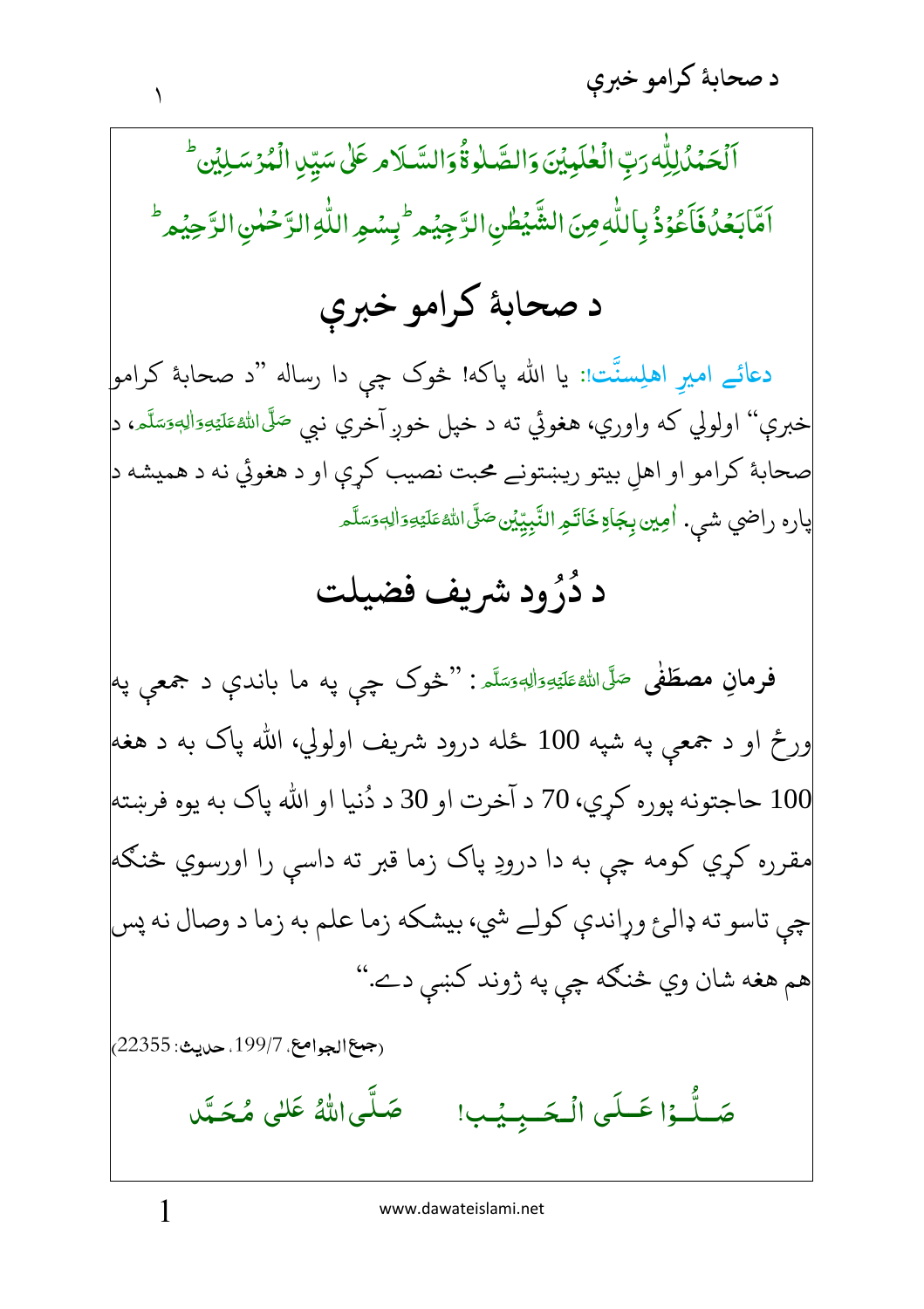ٰ ٱلۡحَمۡدُٰلِلّٰٰٓ رَبِّ الۡعٰلَمِيۡنَ وَالصَّلٰٰٓ قُوَالسَّـلَامِ عَلَىٰ سَيِّنِ الۡمُرۡسَـٰلِيۡن ۚ ֚֚֚֬ ٌ، ٱهَّﺎبَعۡدُفَٱعۡوُذُ بِٱللّٰهِ مِنَ الشَّیۡطٰىِٰ الرَّجِیۡم ۚ بِسۡعِ اللّٰهِ الرَّحۡمٰنِ الرَّحِیۡم ۚ <u>ا</u> ٰ ؚ<br>ۣ<br>ؙ ِّ <u>:</u>

## د صحابهٔ کرامو خبرې

دعائے امیرِ اهلِسنَّت<sub>ا</sub>: یا الله پاکه! څوک چې دا رساله "د صحابهٔ کرامو<mark>ٍ</mark> خبرې'' اولولي که واوري، هغوئي ته د خپل خوږ آخري نبي <sup>صَلَّى</sup>الل<sup>ه</sup>َ عَلَيْهِ َالصَّلَّامِ، د<mark>ې</mark> ľ --ĺ -ć صحابهٔ كرامو او اهلِ بيتو ريښتونے محبت نصيب كړې او د هغوئي نه د هميشه د پاره راضي شي. اُمِين بِِجَاةِخَاتَمِ النَّبِيِّيْن۞صَلَّى اللهُ عَلَيْهِ َاللهِ مَسَّلَّـ ۖ j ---Í -ć -

## رُود شريف فضيلت **\$** د دُرُود شريف فضيلت

فرمانِ مصطَفٰی <sup>صَلَّى الل<sup>ه؏</sup>َليَّهِۥٓوَاٰلِهٖۥ<sub>فَ</sub>سَلَّہ : ''څوک چې په ما باندې د جمعې په</sup> j ---Í -ŕ ورځ او د جمعې په شپه 100 ځله درود شريف اولولي، الله پاک به د هغه| 100 حاجتونه پوره كړي، 70 د آخرت او 30 د دُنيا او الله پاک به يوه فرښته  $100$ مقرره کړي کومه چې به دا درودِ پاک زما قبر ته داسې را اورسوي څنګه| چې تاسو ته ډالرع وړاندې كولے شي، بيشكه زما علم به زما د وصال نه پس| هم هغه شان وي څنګه چې په ژوند کښې دے."

(جمع الجوامع، 199/7. حديث: 22355<sub>)</sub>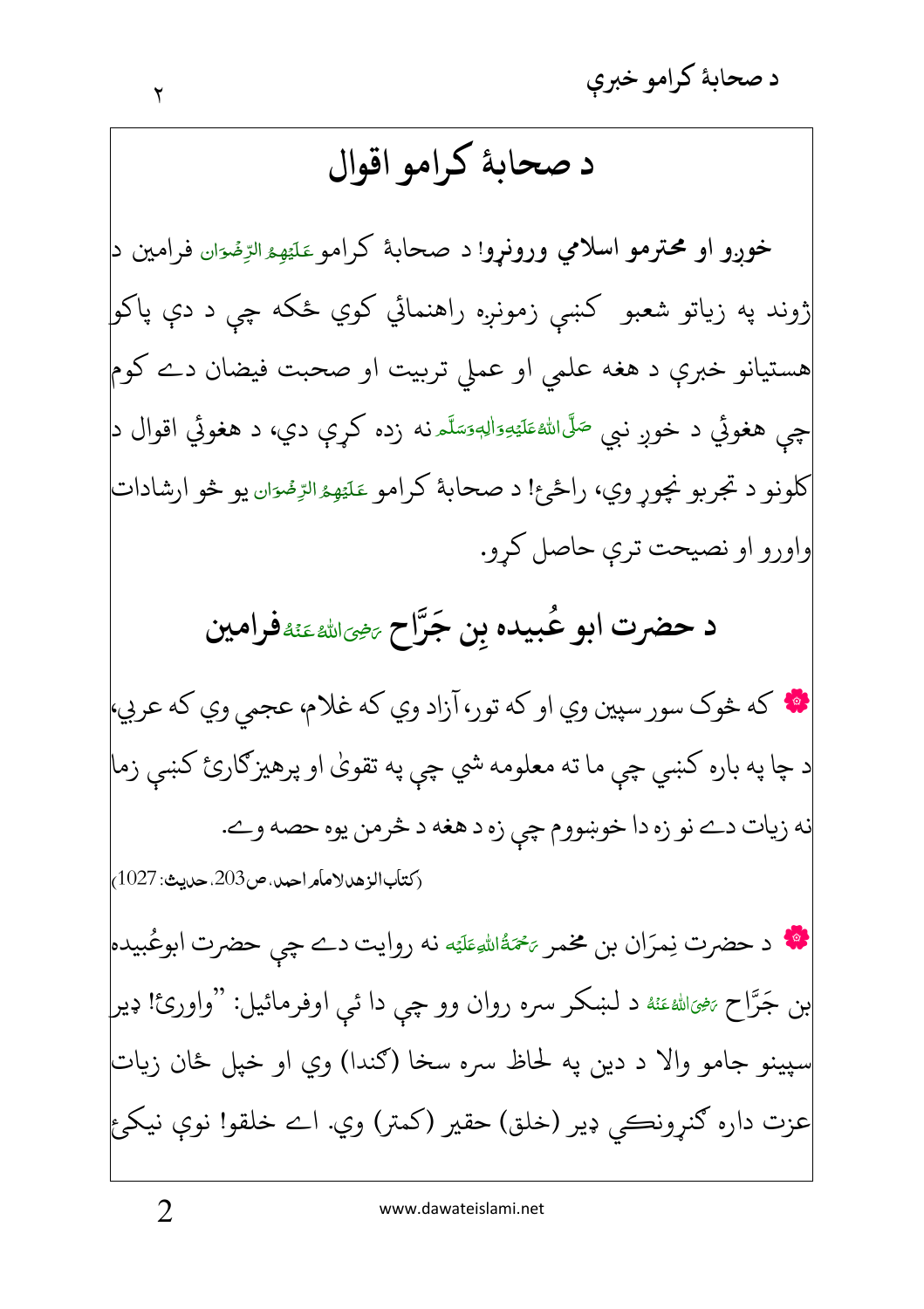## د صحابهٔ کرامو اقوال

خورو او محترمو اسلامي ورونرو! د صحابهٔ کرامو عَلَيْهِمْ الرِّمۡةِان فرامين د ژوند په زياتو شعبو کښې زمونږه راهنمائي کوي ځکه چې د دې پاکو هستيانو خبرې د هغه علمي او عملي تربيت او صحبت فيضان دے كوم چې هغوئي د خوږ نبي <sup>صَلَّى</sup>الل<sup>هِ</sup>ئَلَيْتِوَاللهِوَسَلَّـه نه زده کړې دي، د هغوئي اقوال د<mark>ل</mark> کلونو د تجربو نچور وي، راځئ! د صحابۀ کرامو عَلَيْهِءُالرِّمْءَان يو څو ارشادات واورو او نصيحت ترې حاصل كړو.

د حضرت ابو عُبيده بن جَرَّاح ﷺﷺفرامين

\* که څوک سور سپين وي او که تور، آزاد وي که غلام، عجمي وي که عربي، د چا په باره کښي چې ما ته معلومه شي چې په تقويٰ او پرهيزګارئ کښې زما نه زيات دے نو زه دا خوښووم چي زه د هغه د څرمن يوه حصه وے. (كتاب الزهد لامأمر احمد، ص203، حديث: 1027)

**په د** حضرت نِمرَان بن مخمر يَحْمَةُاللهِطَيَه نه روايت دے چي حضرت ابوعُبيده بن جَرَّاح ﷺ عَنْه د لښكر سره روان وو چې دا ئې اوفرمائيل: "واورئ! ډير پينو جامو والا د دين په لحاظ سره سخا (ګندا) وي او خپل ځان زيات عزت داره گنرونڪي ډير (خلق) حقير (کمتر) وي. اے خلقو! نوي نيکئ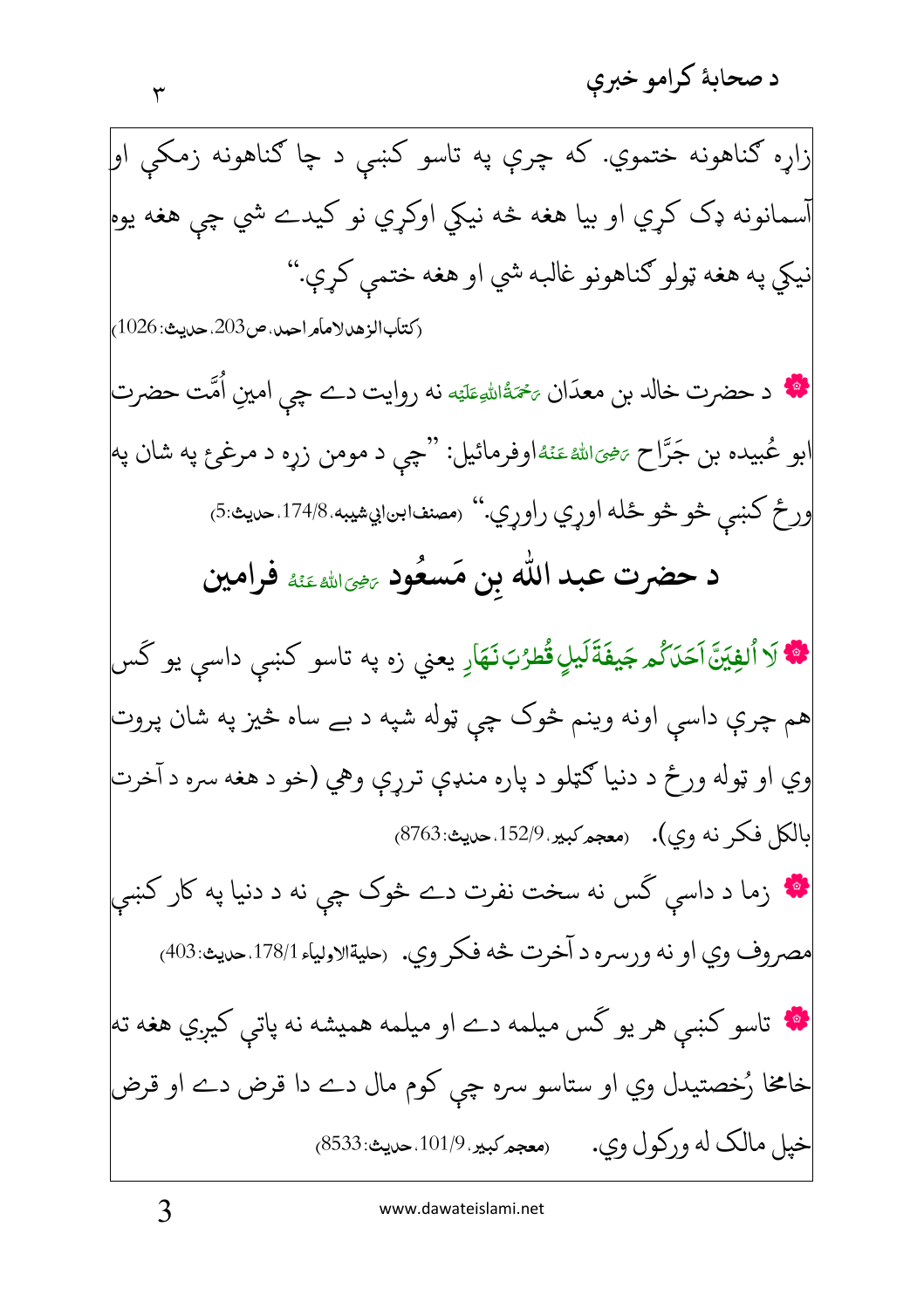www.dawateislami.net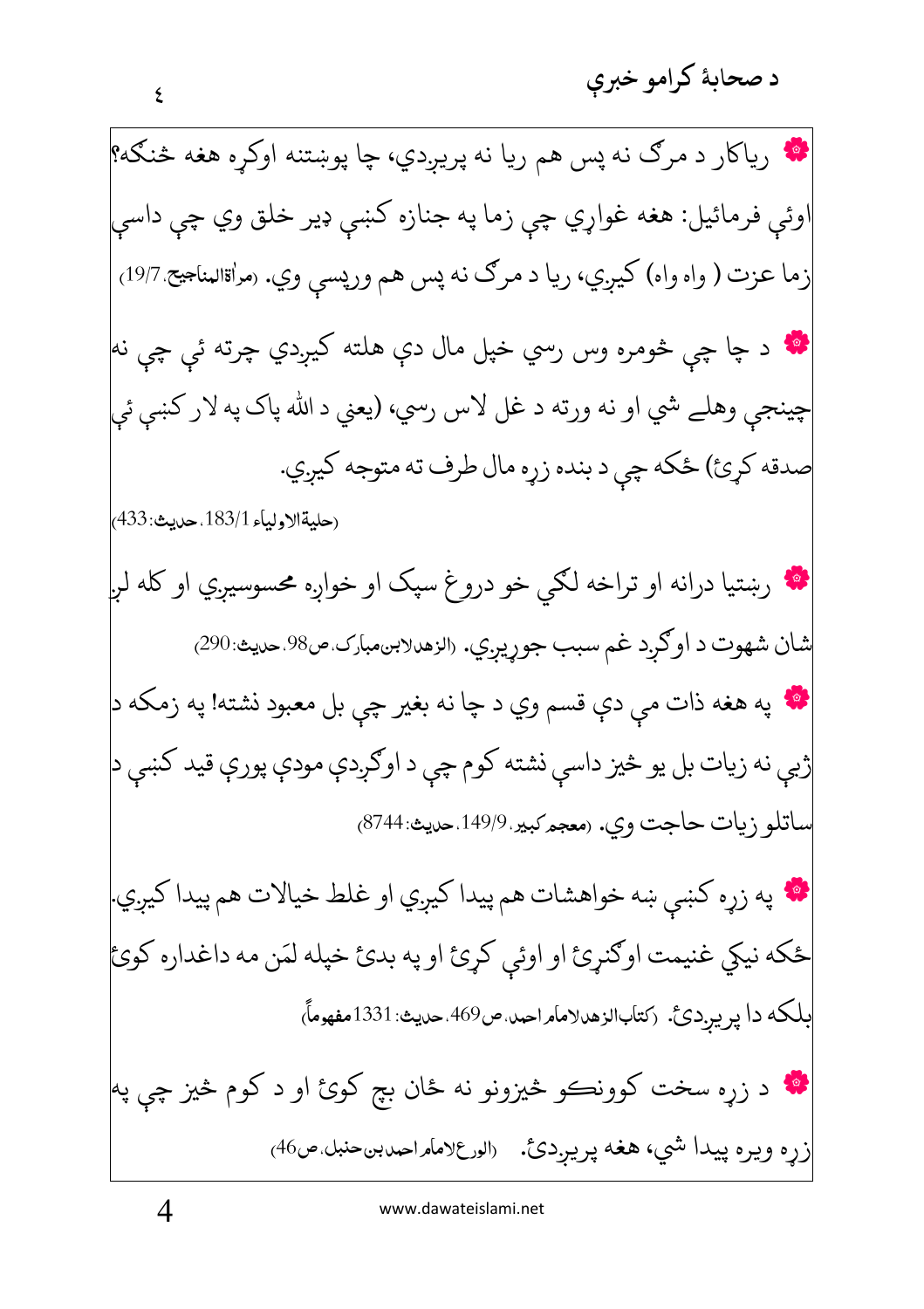د صحابهٔ کرامو خبرې

| <b>اک</b> رياکار د مرګ نه پس هم ريا نه پريږدي، چا پوښتنه اوکړه هغه څنګه؟                       |
|------------------------------------------------------------------------------------------------|
| اوئې فرمائيل: هغه غواړي چې زما په جنازه کښې ډير خلق وي چې داسې                                 |
| زما عزت ( واه واه) کيږي، ريا د مرګ نه پس هم ورپسې وي. (مراةالمناجيح 19/7 <sub>،</sub>          |
| <b>اگه</b> د چا چې څومره وس رسي خپل مال دې هلته کيږدي چرته ئې چې نه                            |
| چينجې وهلے شي او نه ورته د غل لاس رسي، (يعني د الله پاک په لار کښې ئې                          |
| صدقه کړئ) ځکه چې د بنده زړه مال طرف ته متوجه کيږي.                                             |
| (حليةالاولياء 183/1. حديث: 433)                                                                |
| <b>۱۰</b> رښتيا درانه او تراخه لکي خو دروغ سپک او خواږه محسوسيږي او کله لږ                     |
| شان شهوت د اوګړد غم سبب جوړيږي. «لزهدلابنمبارک ص98 حديث:290)                                   |
| <b>اکل</b> په هغه ذات مې دې قسم وي د چا نه بغير چې بل معبود نشته! په زمکه د                    |
| ژبې نه زيات بل يو څيز داسې نشته کوم چې د اوګږدې مودې پورې قيد کښې د                            |
| ساتلو زيات حاجت وي. (معجم كبير 149/9 حديث 87448)                                               |
| <b>اگه</b> په زړه کښې ښه خواهشات هم پيدا کيږي او غلط خيالات هم پيدا کيږي.                      |
| ځکه نيکي غنيمت اوګنړئ او اوئې کړئ او په بدئ خپله لمَن مه داغداره کوئ                           |
| .<br>بلکه دا پريږدئ. (کتابالزهدلامامراحمد ص469 حديث: 1331مفهوماً)                              |
| <b>انه</b> د زړه سخت کوونڪو څيزونو نه ځان بچ کوئ او د کوم څيز چې په                            |
| زړه ويره پيدا شي، هغه پريږدئ. <sub>(الور</sub> ع <sub>لا</sub> مامراحمدبنحنبل ص46 <sub>)</sub> |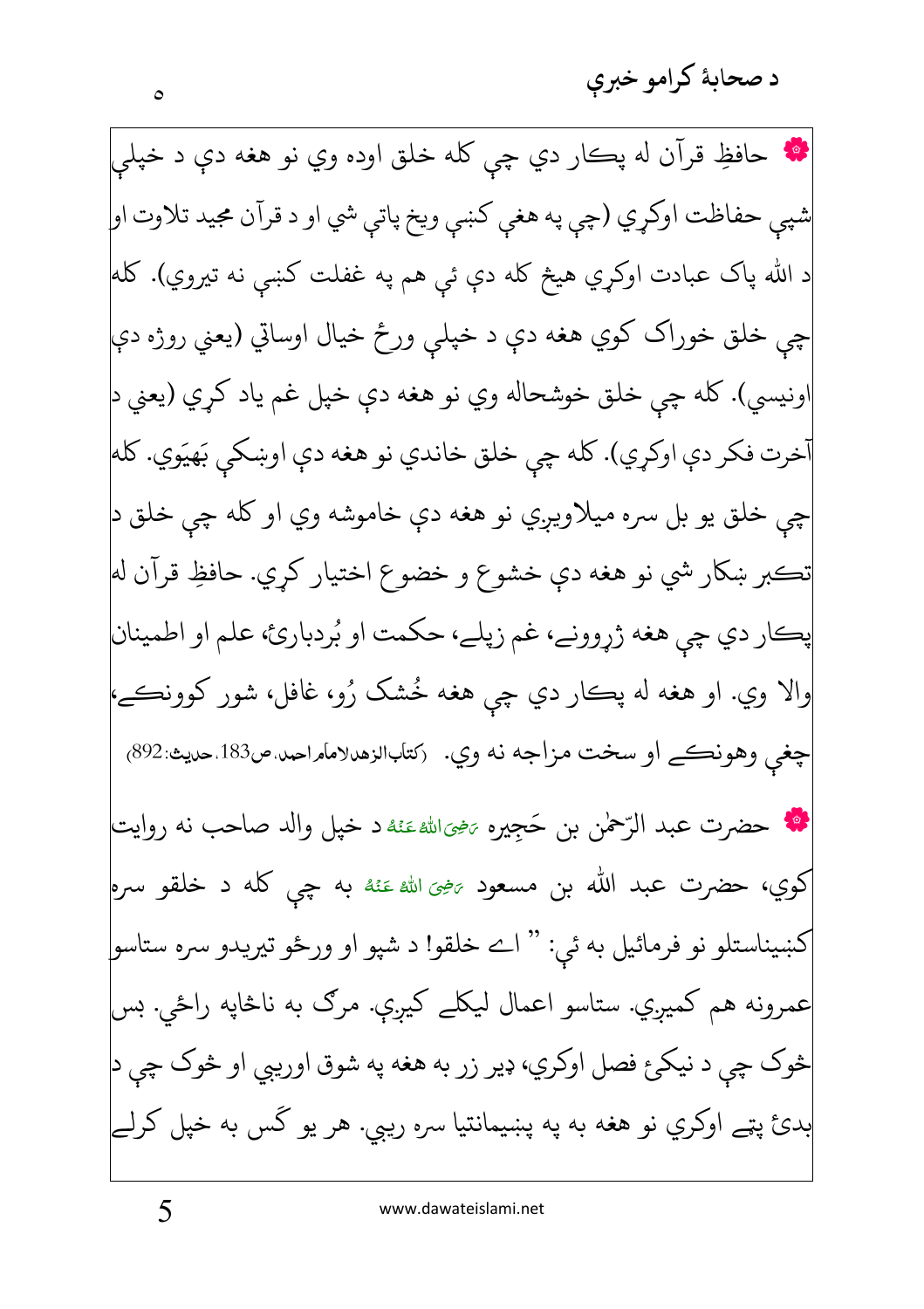د صحاىۀ كرامو خبرى

**په** حافظِ قرآن له پڪار دي چي کله خلق اوده وي نو هغه دې د خپلې شپي حفاظت اوکړي (چې په هغې کښې ويخ پاتې شي او د قرآن مجيد تلاوت او| د الله پاک عبادت اوکړي هیڅ کله دې ئ<sub>ی</sub> هم په غفلت کښې نه تیروي). کله چې خلق خوراک کوي هغه دې د خپلې ورځ خيال اوساتي (يعني روژه دې اونيسي). کله چي خلق خوشحاله وي نو هغه دي خپل غم ياد کري (يعني د أخرت فكر دې اوكړي). كله چې خلق خاندي نو هغه دې اوښكى بَهيَوي. كله چې خلق يو بل سره ميلاويږي نو هغه دې خاموشه وي او كله چې خلق د تڪبر ښکار شي نو هغه دې خشوع و خضوع اختيار کړي. حافظِ قرآن له پڪار دي چي هغه ژړوونے، غم زپلے، حکمت او بُردبارئ، علم او اطمينان والا وي. او هغه له پڪار دي چي هغه خُشک رُو، غافل، شور کوونڪے، چغي وهونڪے او سخت مزاجه نه وي. (کتابالزهدلامامراحيد ص183 حديث:892) • حضرت عبد الرّحمٰن بن حَجِيره ﷺ عَنْهُ د خپل والد صاحب نه روايت كوي، حضرت عبد الله بن مسعود <sub>تخ</sub>يَ الله عَنْهُ به چي كله د خلقو سره<mark></mark> کښيناستلو نو فرمائيل به ئي: " اے خلقو! د شپو او ورځو تيريدو سره ستاسو| عمرونه هم کميږي. ستاسو اعمال ليکلے کيږې. مرګ به ناڅاپه راځي. بس څوک چې د نيکۍ فصل اوکري، ډير زر به هغه په شوق اوريبي او څوک چې د بدئ پټے اوکري نو هغه به په پښیمانتیا سره ریبي. هر یو گس به خپل کرلے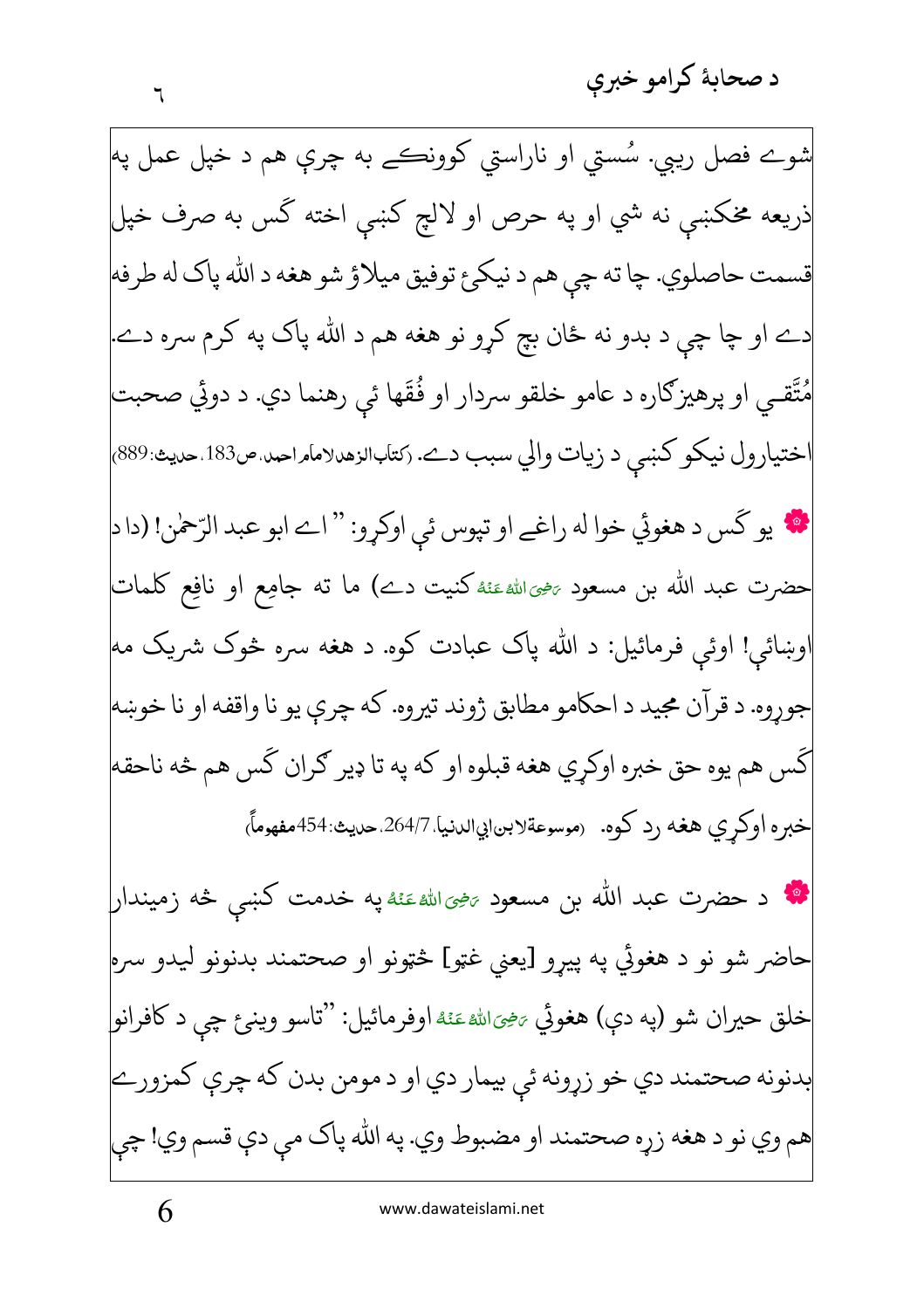د صحابهٔ کرامو خبری

شوے فصل ريبي. سُستی او ناراستي کوونڪے به چرې هم د خپل عمل په<mark></mark> ذريعه مخكښې نه شي او په حرص او لالچ كښى اخته گس به صرف خپل قسمت حاصلوي. چا ته چي هم د نيكئ توفيق ميلاؤ شو هغه د الله پاک له طرفه دے او چا چې د بدو نه ځان بچ کړو نو هغه هم د الله پاک په کرم سره دے. مُتَّقـى او پرهيزګاره د عامو خلقو سردار او فُقَها ئې رهنما دي. د دوئي صحبت ختيارول نيكو كښى د زيات والي سبب دے. رَسَابالزهدلامامراحد ص183 حديث:889) \* يو كَس د هغوئي خوا له راغے او تپوس ئي اوكړو: " اے ابو عبد الرّحمٰن! (دا د| حضرت عبد الله بن مسعود <sub>تنخ</sub>ىاللهءَنَهُ كنيت دے) ما ته جامِع او نافِع كلمات ُوښائ<sub>ی</sub>! اوئ<sub>ی</sub> فرمائیل: د الله پاک عبادت کوه. د هغه سره څوک شریک مه جوروه. د قرآن مجيد د احكامو مطابق ژوند تيروه. كه چري يو نا واقفه او نا خوښه گس هم يوه حق خبره اوكړي هغه قبلوه او كه په تا ډير ګران گس هم څه ناحقه خبره اوكري هغه رد كوه. (موسوعةلابن|بي|لدنيا 264/7 صديث:454مفهوماً) \* د حضرت عبد الله بن مسعود <sub>تَنْ</sub>يَالله عَنْهُ په خدمت كښى څه زميندار| حاضر شو نو د هغوئي په پيړو [يعني غټو] څټونو او صحتمند بدنونو ليدو سره| خلق حيران شو (په دې) هغوئي <sub>تَن</sub>حِيَالله عَنْهُ اوفرمائيل: ''تاسو وينږع چي د كافرانو| بدنونه صحتمند دي خو زړونه ئې بيمار دي او د مومن بدن كه چرې كمزورے هم وي نو د هغه زړه صحتمند او مضبوط وي. په الله پاک مې دې قسم وي! چې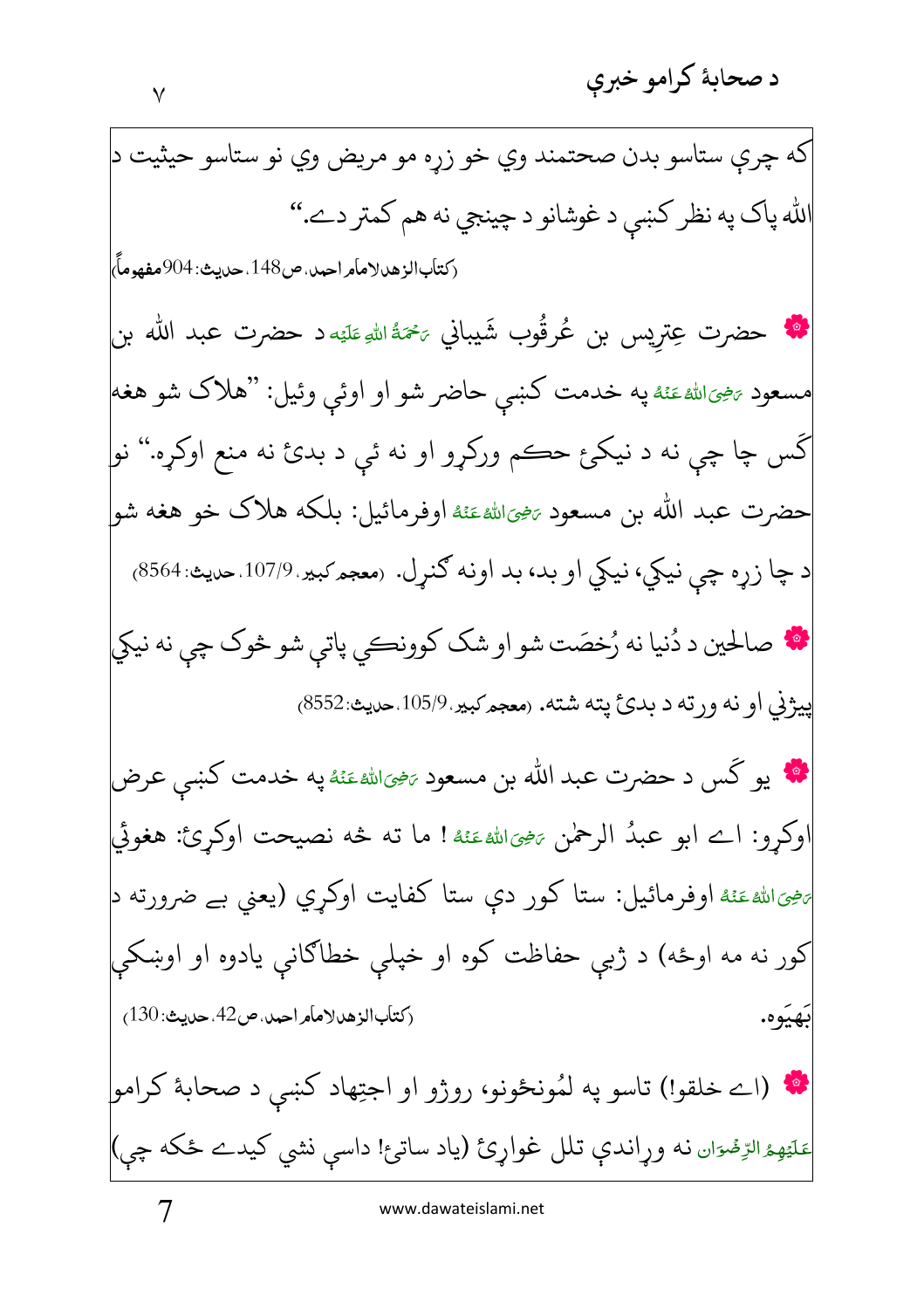گس ۔

حضہ ت

نضي الله

بَهيَوه.

(كتاب الزهد لامأمر احمد، ص42، حديث: 130)

\* (اے خلقو!) تاسو په لمُونځونو، روژو او اجتِهاد کښي د صحابهٔ کرامو|

عَلَيْهِمُ الرِّمُّوَان نه وړاندې تلل غواړئ (ياد ساتئ! داسې نشي کيدے ځکه چې)

كه چري ستاسو بدن صحتمند وي خو زړه مو مريض وي نو ستاسو حيثيت د

الله پاک په نظر کښې د غوشانو د چينجي نه هم کمتر دے.''

$$
\lambda
$$

7

ہے ضرورته د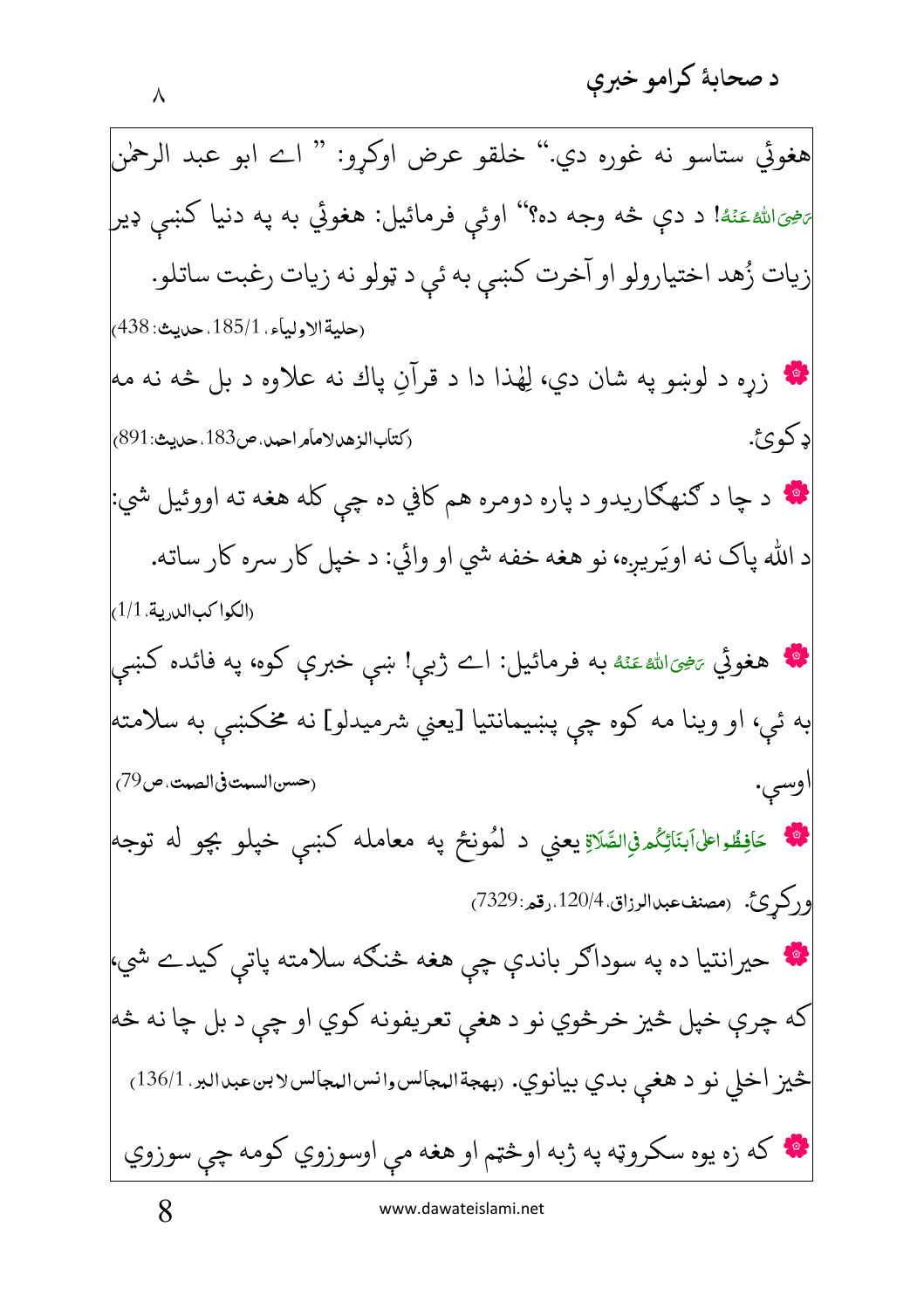د صحابهٔ کرامو خبرې

هغوئي ستاسو نه غوره دي.'' خلقو عرض اوكړو: '' اے ابو عبد الرحمٰن پنجيالله عَنْهُ! د دې څه وجه ده؟'' اوئې فرمائيل: هغوئي به په دنيا کښې ډير زيات زُهد اختيارولو او آخرت كښې به ئې د ټولو نه زيات رغبت ساتلو. (حليةالاولياء. 185/1. حديث: 438) لکه زره د لوښو په شان دي، لِهٰذا دا د قرآنِ پاك نه علاوه د بل څه نه مه ډ کوئ. (كتاب الزهد لامامر احمد، ص183. حديث: 891) \* د چا د ګنهګاريدو د پاره دومره هم کافي ده چي کله هغه ته اووئيل شي: د الله پاک نه اويَريږه، نو هغه خفه شي او وائي: د خپل کار سره کار ساته. (الكواكب الدرية. 1/1) \*\* هغوئي <sub>تَنْ</sub>حِىَالله عَنْهُ به فرمائيل: اے ژبې! ښې خبرې کوه، په فائده کښې به ئې، او وينا مه كوه چې پښيمانتيا [يعني شرميدلو] نه مخكښې به سلامته| (حسن السبت في الصبت، ص79) وسى. حَافِظُواعلىَابَنَائِكُمْفِالصَّلَاةِ يعني د لمُونځ په معامله کښ<sub>ې</sub> خپلو بچو له توجه وركرئ. (مصنفءبدالرزاق 120/4.رقم:7329) حيرانتيا ده په سوداګر باندې چې هغه څنګه سلامته پاتې کيدے شي، که چرې خپل څيز خرڅوي نو د هغې تعريفونه کوي او چې د بل چا نه څه څيز اخلي نو د هغې بدي بيانوي. (بهجةالمجالسوانسالمجالسلابنءبدالبر. 136/1) **په** که زه يوه سکروټه په ژبه اوڅټم او هغه مې اوسوزوي کومه چې سوزوي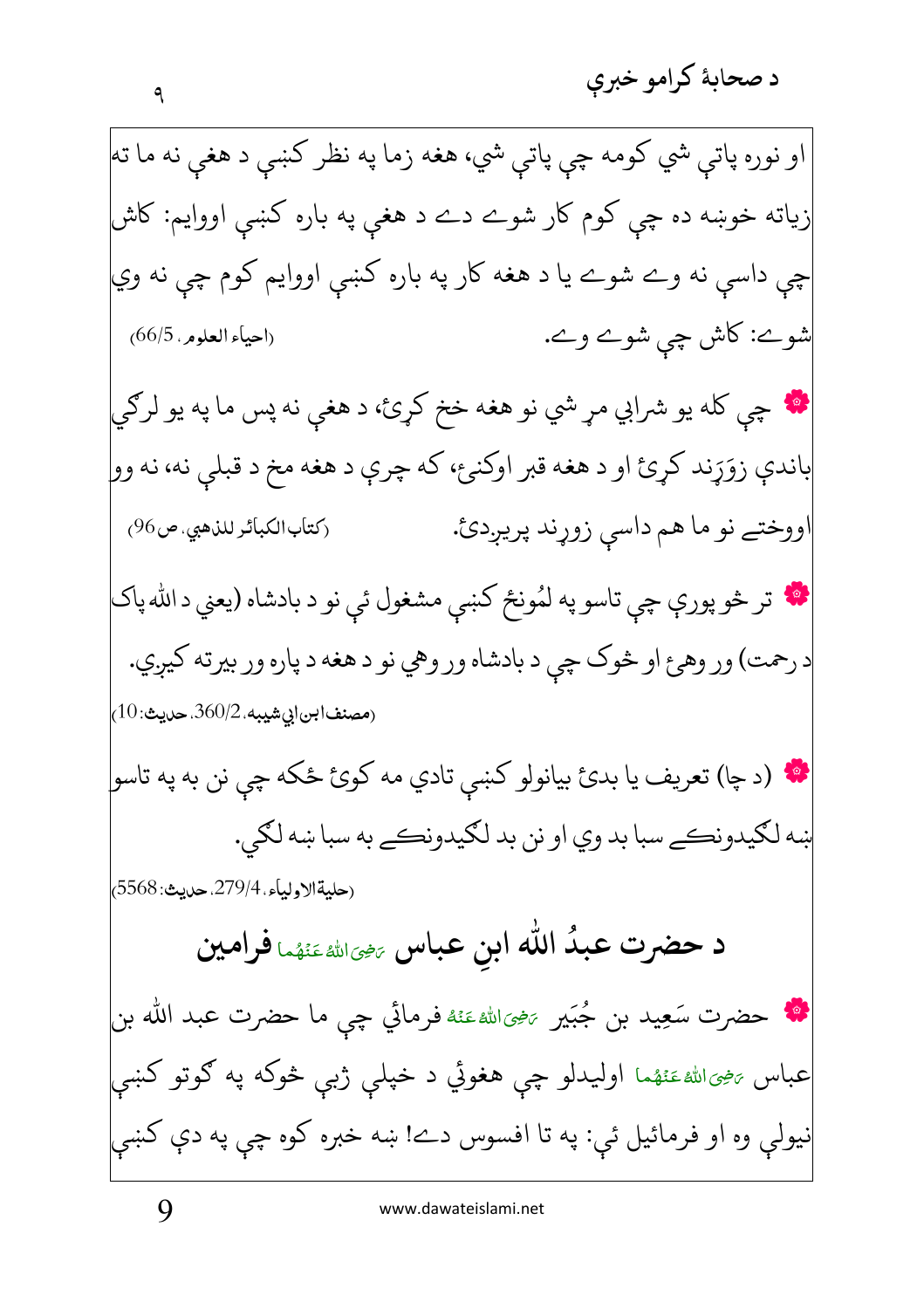او نوره پاتي شي کومه چي پاتي شي، هغه زما په نظر کښي د هغې نه ما ته زیاته خوښه ده چي کوم کار شوے دے د هغې په باره کښې اووايم: کاش چې داسې نه وے شوے يا د هغه کار په باره کښې اووايم کوم چي نه وي شوے: کاش چې شوے وے. (احياء العلوم ، 66/5) **په** چې کله يو شرابي مړ شي نو هغه خخ کړئ، د هغې نه پس ما په يو لرګي باندې زوَړند کړئ او د هغه قبر اوکنئ، که چرې د هغه مخ د قبلي نه، نه وو| اووختے نو ما هم داسې زوړند پريږدئ. (كتاب الكبائر للذهبي، ص96) په تر څو پورې چي تاسو په لمُونځ کښي مشغول ئي نو د بادشاه (يعني د الله پاک د رحمت) ور وهئ او څوک چې د بادشاه ور وهي نو د هغه د پاره ور بيرته کيږي. (مصنفابن|بيشيبه، 360/2، حديث: 10) \* (د چا) تعريف يا بدئ بيانولو كښى تادي مه كوئ ځكه چي نن به په تاسو| ښه لکيدونڪے سبا بد وي او نن بد لکيدونڪے به سبا ښه لکي. (حليةالاولياء، 279/4. حديث: 5568) د حضرت عبدُ الله ابن عباس ﷺﷺ فرامين لله حضرت سَعِيد بن جُبَير ﷺ عَنْهُ فرمائي چي ما حضرت عبد الله بن عباس <sub>تَنْ</sub>حِىالله عَنْهُما اوليدلو چې هغوئي د خپلې ژبې څوکه په ګوتو کښې نيولې وه او فرمائيل ئې: په تا افسوس دے! ښه خبره کوه چې په دې کښې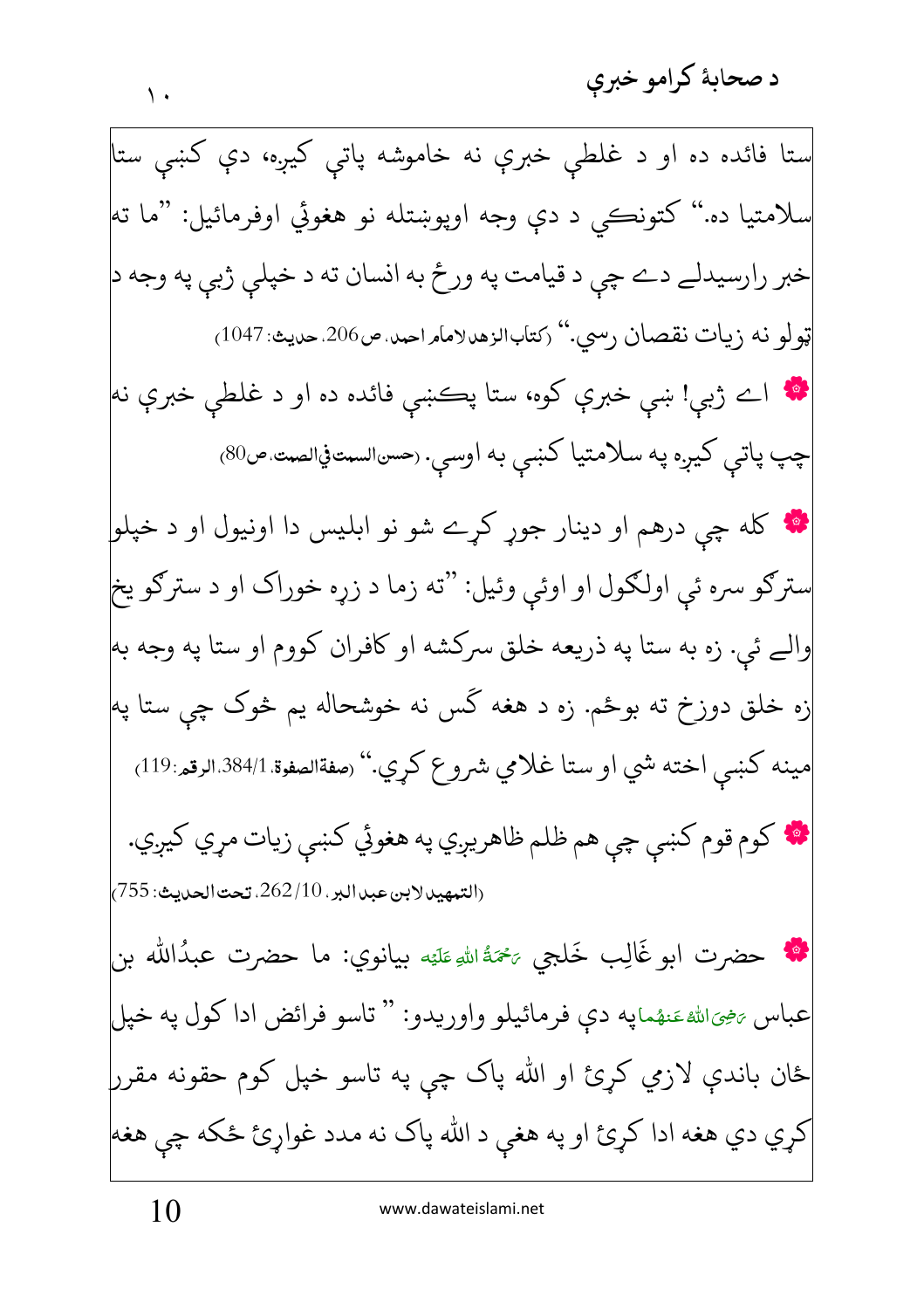ستا فائده ده او د غلطې خبرې نه خاموشه پاتې کيږه، دې کښې ستا سلامتيا ده.'' کتونڪي د دي وجه اويوښتله نو هغوئي اوفرمائيل: "ما ته| خبر رارسيدلے دے چي د قيامت په ورځ به انسان ته د خپلي ژبي په وجه د ټولو نه زيات نقصان رسي." رکتابالزهدلامامراحمد.ص206.حديث: 1047<sub>)</sub> **په** اے ژبې! ښې خبرې کوه، ستا پڪښې فائده ده او د غلطې خبرې نه چپ پاتې کيږه په سلامتيا کښې به اوسې. (حسالسمتفيالصت ص80) **په** کله چي درهم او دينار جوړ کړے شو نو ابليس دا اونيول او د خپلو سترګو سره ئې اولګول او اوئې وئيل: "ته زما د زړه خوراک او د سترګو يخ والے ئي. زه به ستا په ذريعه خلق سركشه او كافران كووم او ستا په وجه به زه خلق دوزخ ته بوځم. زه د هغه گس نه خوشحاله يم څوک چي ستا په| مينه كښي اخته شي او ستا غلامي شروع كړي.'' (صفةالصفوة 384/1،الرقم:119) \* كوم قوم كښى چې هم ظلم ظاهريږي په هغوئي كښې زيات مړي كيږي. (التبهير لابن عبدالبر، 262/10، تحت الحديث: 755) \* حضرت ابو غَالِب خَلجي ﷺ اللهِ عَلَيْه بيانوي: ما حضرت عبدُالله بن عباس ﷺ عَنهُمايه دي فرمائيلو واوريدو: " تاسو فرائض ادا كول يه خيل ځان باندې لازمي کړئ او الله پاک چې په تاسو خپل کوم حقونه مقرر کړي دي هغه ادا کړئ او په هغې د الله پاک نه مدد غواړئ ځکه چې هغه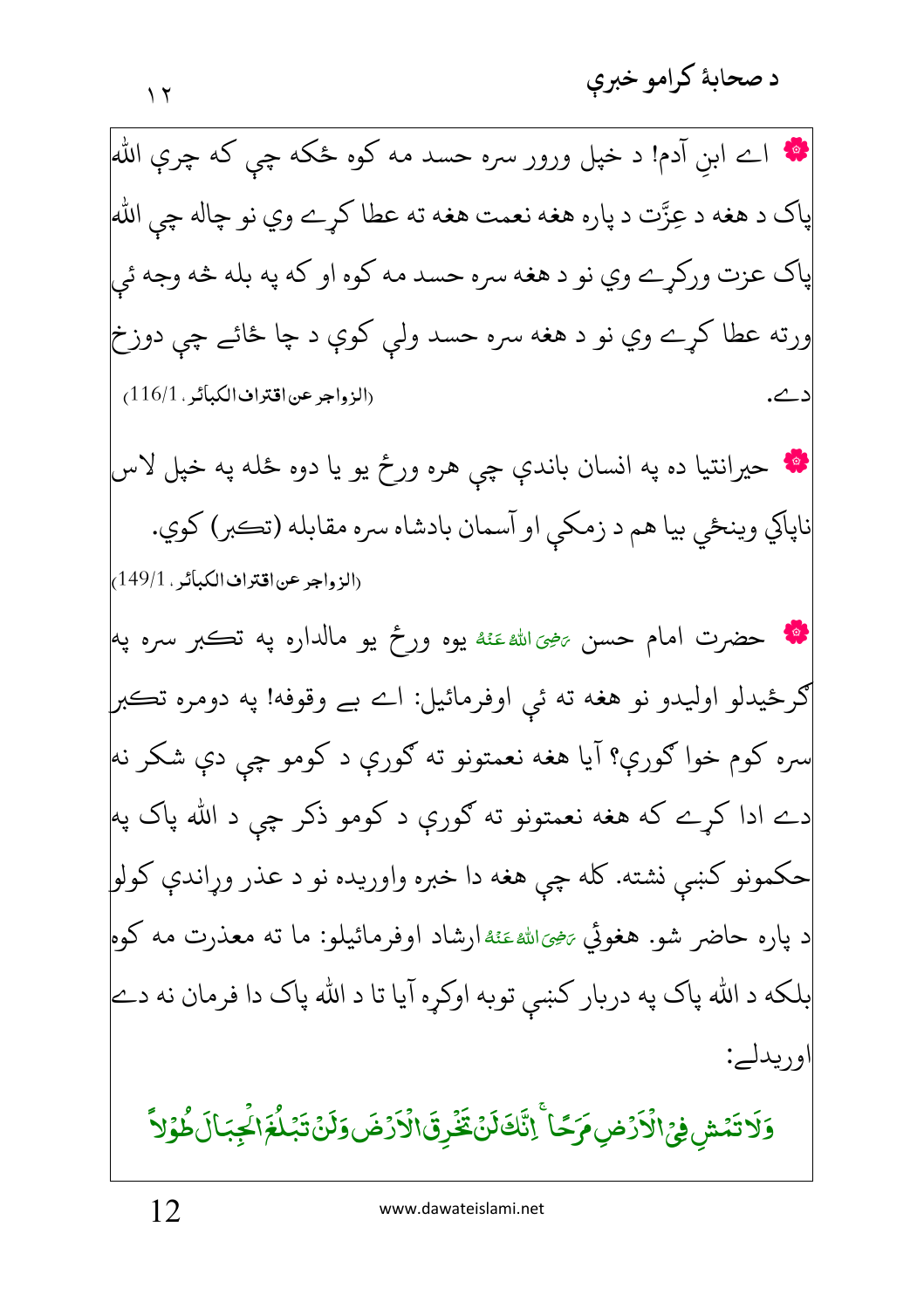**په** اے ابن آدم! د خپل ورور سره حسد مه کوه ځکه چی که چرې الله پاک د هغه د عِزَّت د پاره هغه نعمت هغه ته عطا کړے وي نو چاله چي الله پاک عزت ورکړے وي نو د هغه سره حسد مه کوه او که په بله څه وجه ئي ورته عطا کړے وي نو د هغه سره حسد ولې کوې د چا ځائے چې دوزخ (الزواجر عن اقتراف الكبائر . 116/1) ے. **په** حيرانتيا ده په انسان باندې چي هره ورځ يو يا دوه ځله په خپل لاس ناپاکي وينځي بيا هم د زمکي او آسمان بادشاه سره مقابله (تڪبر) کوي. (الزواجر عن اقتراف الكبائر ، 149/1) **په** حضرت امام حسن ﷺ ينهو ورځ يو مالداره په تڪبر سره په گرځيدلو اوليدو نو هغه ته ئې اوفرمائيل: اے بے وقوفه! په دومره تڪبر| سره کوم خوا ګورې؟ آيا هغه نعمتونو ته ګورې د کومو چي دې شکر نه| دے ادا کړے که هغه نعمتونو ته ګورې د کومو ذکر چې د الله پاک په حکمونو کښي نشته. کله چي هغه دا خبره واوريده نو د عذر وړاندې کولو د پاره حاضر شو. هغوئي <sub>تَ<sup>ضِي</sup>َاللهٴعَنُهُارشاد اوفرمائيلو: ما ته معذرت مه کوه<mark></mark></sub> بلکه د الله پاک په دربار کښي توبه اوکړه آيا تا د الله پاک دا فرمان نه دے اوربدلہ: وَلَا تَمۡش فِيۡ الۡاَرۡضِ مَرَحٗا ۚ إِنَّكَ لَنۡ تَخۡرِقَ الۡاَرۡضَ وَلَنۡ تَبۡلُغَ الۡجَبَالَ طُوۡلاَّ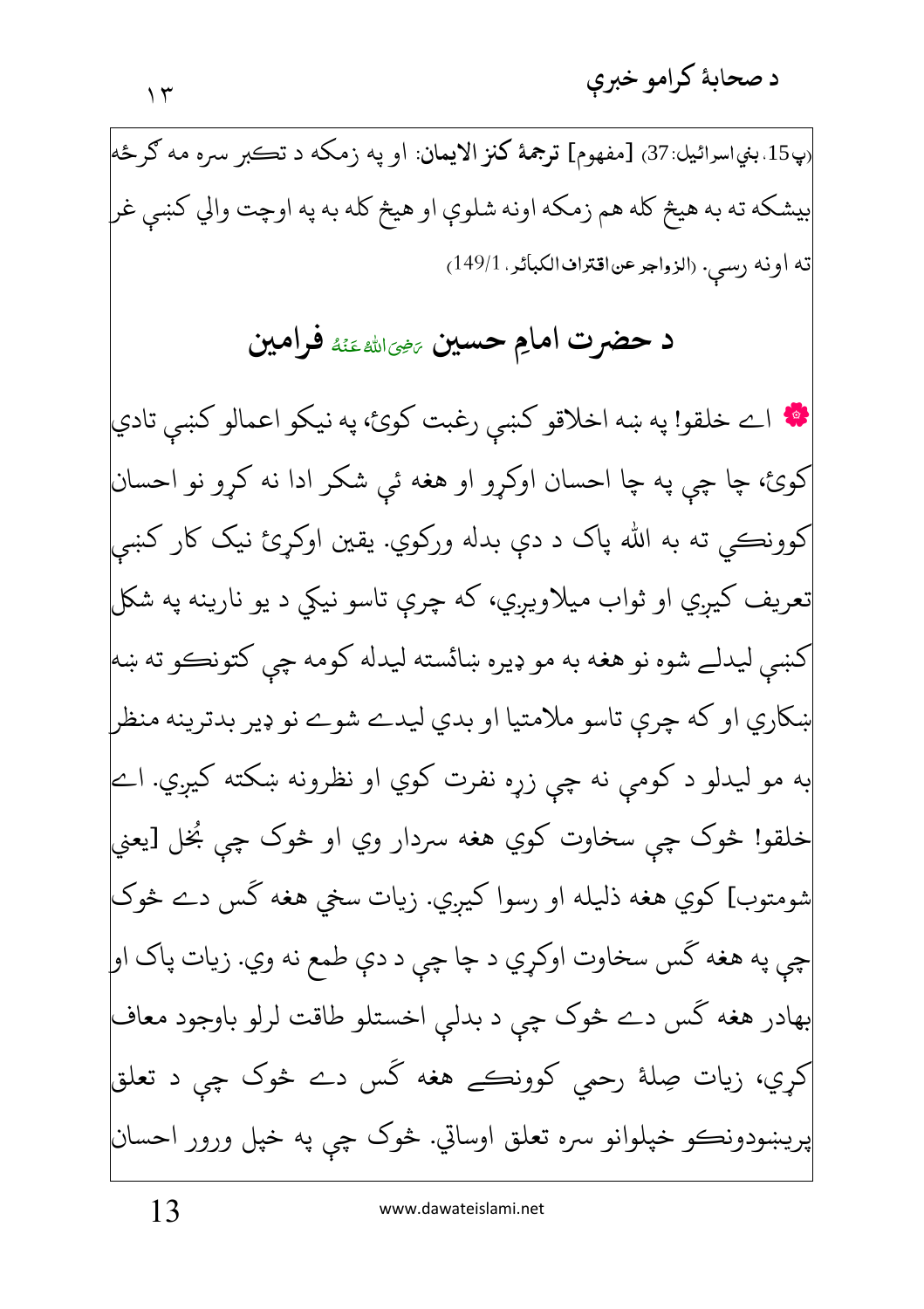<sub>(</sub>پ15 بني|سرائيل:37) [مفهوم] **ترجمهٔ کنز الايمان**: او په زمکه د تڪبر سره مه ګر ځه|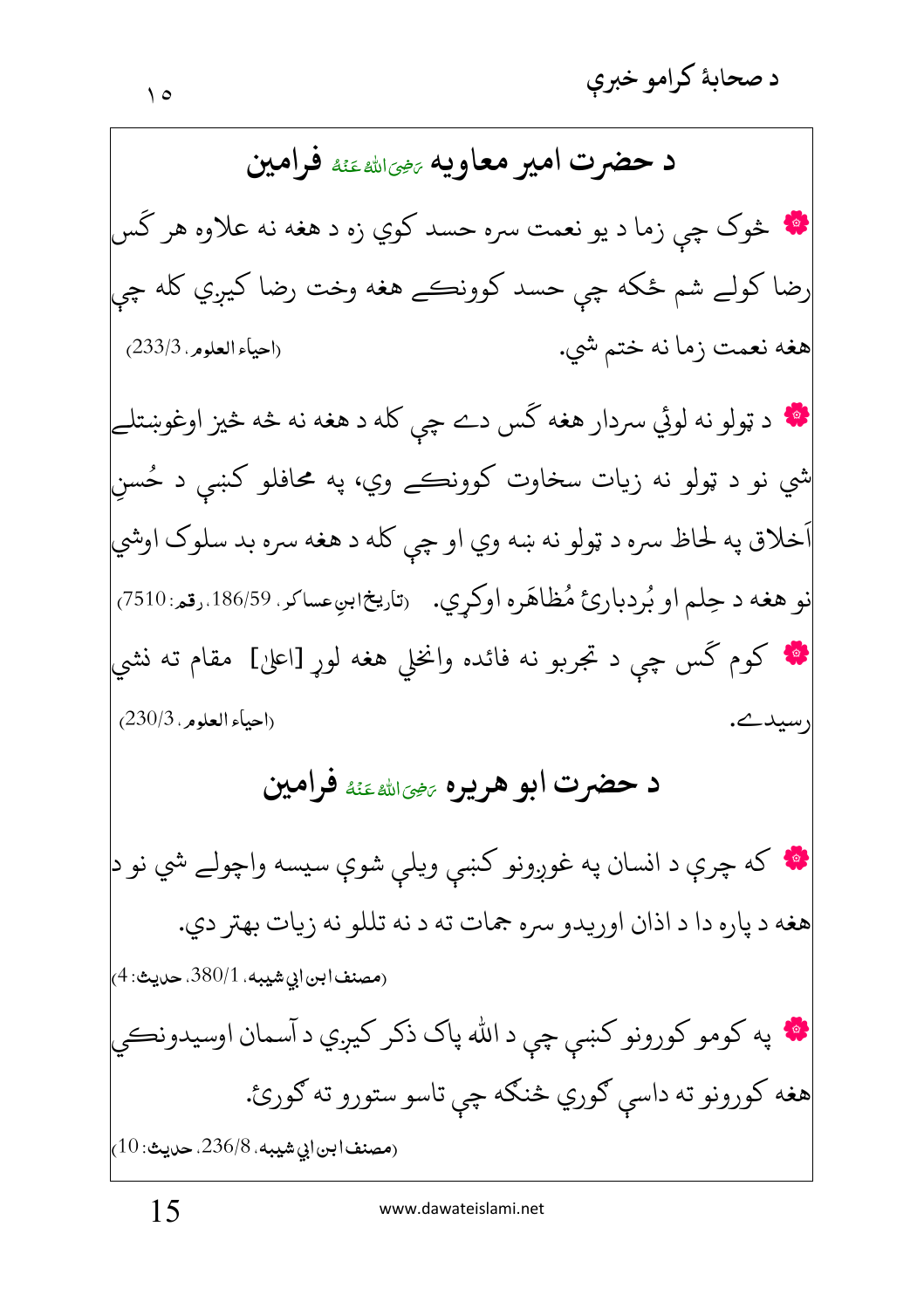د حضرت امیر معاویه پهباشه عَنهٔ فرامین په څوک چي زما د يو نعمت سره حسد کوي زه د هغه نه علاوه هر گس رضا کولے شم ځکه چي حسد کوونڪے هغه وخت رضا کيږي کله چي (احياء العلوم, 233/3) هغه نعمت زما نه ختم شي. \* د ټولو نه لوئي سردار هغه کَس دے چې کله د هغه نه څه څيز اوغوښتلے شي نو د ټولو نه زيات سخاوت کوونڪے وي، په محافلو کښي د حُسن َخلاق په لحاظ سره د ټولو نه ښه وي او چې کله د هغه سره بد سلوک اوشي نو هغه د حِلم او بُردبارئ مُظاهَره اوكرِي. رتاريخ ابنِعساكر. 186/59.رقم: 7510/ \* کوم گس چي د تجربو نه فائده وانخلي هغه لوړ [اعليٰ] مقام ته نشي (احياء العلوم ، 230/3) رسيد\_ د حضرت ابو هريره ﷺﷺ فرامين ۲۰ که چرې د انسان په غوږونو کښې ويلې شوې سيسه واچولے شي نو د<mark>ا</mark> هغه د پاره دا د اذان اوريدو سره جمات ته د نه تللو نه زيات بهتر دي. (مصنف|بن|بي شيبه، 380/1. حديث: 4) په کومو کورونو کښي چي د الله پاک ذکر کيږي د آسمان اوسيدونڪي هغه کورونو ته داسي ګوري څنګه چې تاسو ستورو ته ګورئ.  $(10.236/8.4)$ مصنف ابن ابي شيبه،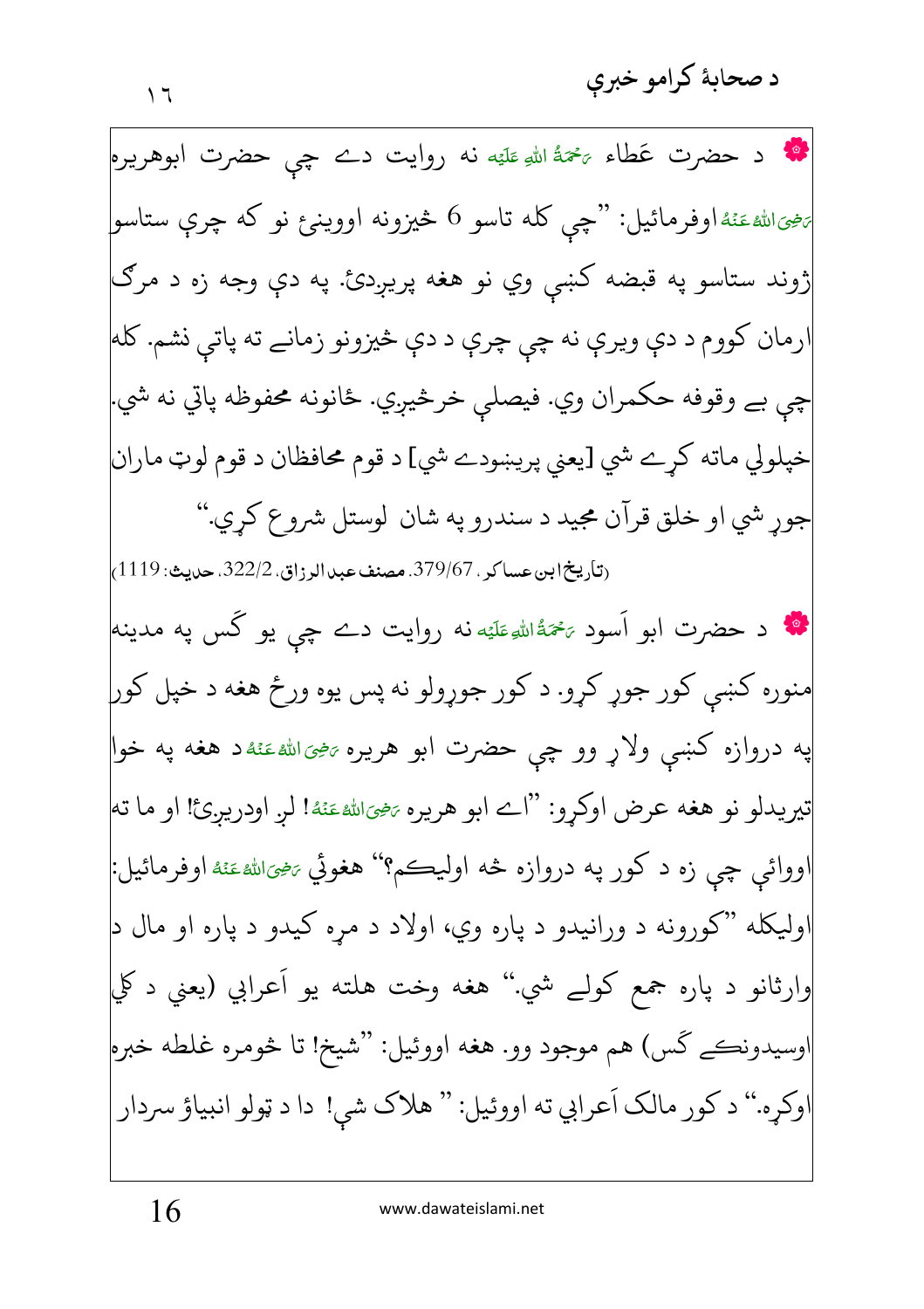**په** د حضرت عَطاء ﷺ اللهِ عَلَيْه نه روايت دے چې حضرت ابوهريره پرهيانلهءَنُهُاوفرمائيل: "چي کله تاسو 6 څيزونه اووين<sub>ځ</sub> نو که چرې ستاسو| ژوند ستاسو په قبضه کښې وي نو هغه پريږدئ. په دې وجه زه د مرګ ارمان کووم د دې ويرې نه چې چرې د دې څيزونو زمانے ته پاتې نشم. کله چي بے وقوفه حکمران وي. فيصلي خرڅيږي. ځانونه محفوظه پاتي نه شي. خپلولي ماته کرے شي [يعني پريښودے شي] د قوم محافظان د قوم لوټ ماران جور شي او خلق قرآن مجيد د سندرو په شان لوستل شروع كري." (تاريخ ابن عساكر ، 379/67. مصنف عبد الرزاق، 322/2. حديث: 1119) **په** د حضرت ابو اَسود <sup>پهي</sup>ۀال<sup>ي</sup>وعَليَه نه روايت دے چې يو گس په مدينه منوره کښي کور جوړ کړو. د کور جوړولو نه پس يوه ورځ هغه د خپل کور په دروازه کښی ولاړ وو چی حضرت ابو هریره *بخی*اشهءَنهٔد هغه په خوا تيريدلو نو هغه عرض اوكرو: "اے ابو هريره يه<u>خوالله عَن</u>هُ! لر اودرير ئ! او ما ته اووائې چې زه د کور په دروازه څه اوليڪم؟'' هغوئي <sub>تَن</sub>حِيَ<sub>الل</sub>ه عَنْهُ اوفرمائيل: 'وليکله "کورونه د ورانيدو د پاره وي، اولاد د مړه کيدو د پاره او مال د وارثانو د پاره جمع کولے شي.'' هغه وخت هلته يو اَعرابي (يعني د کلي اوسيدونڪے گس) هم موجود وو. هغه اووئيل: "شيخ! تا څومره غلطه خبره اوکره." د کور مالک اَعرابي ته اووئيل: " هلاک شي! دا د ټولو انبياؤ سردار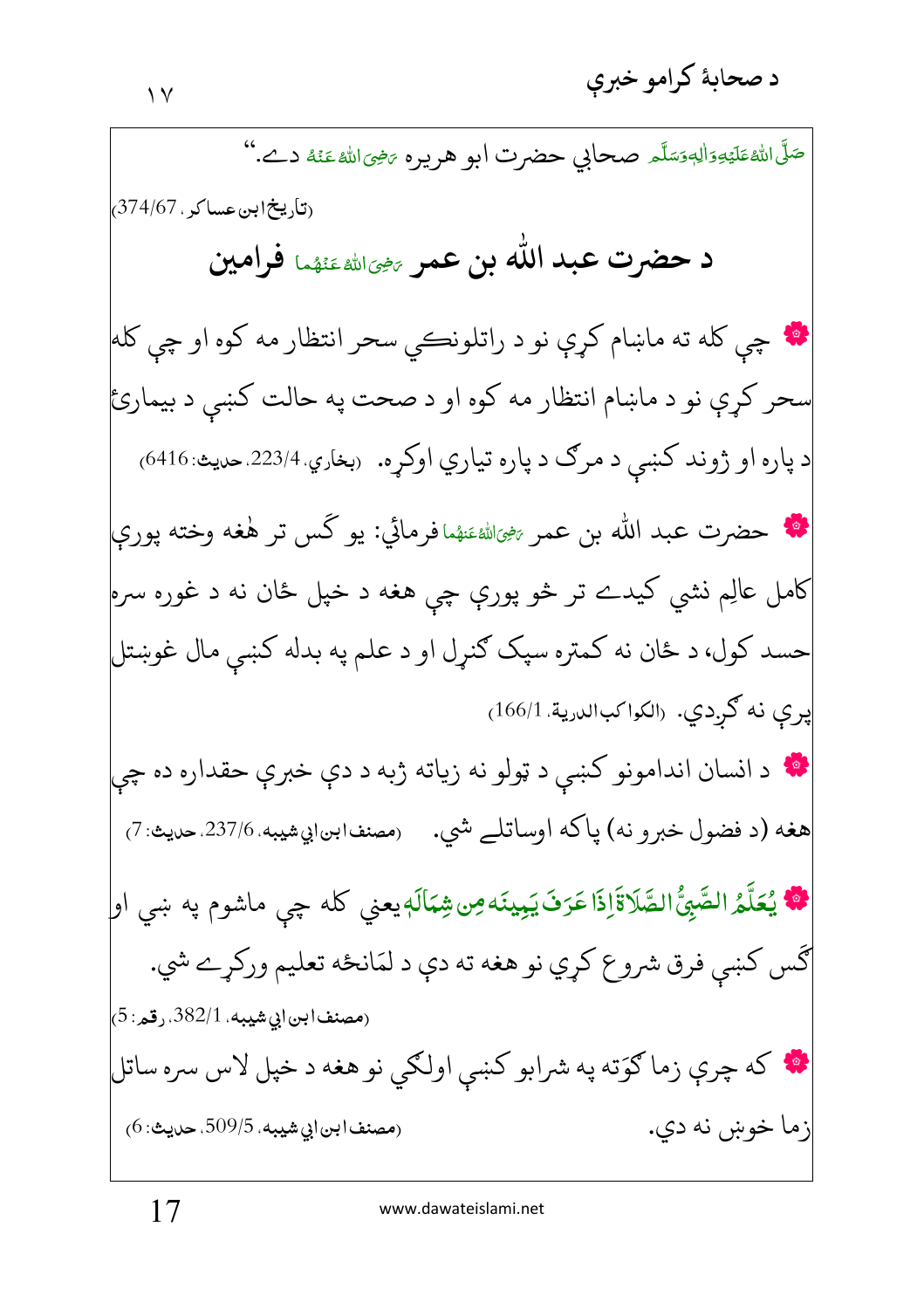صَلَّى اللهُ عَلَيْهِ وَالِهِ وَسَلَّمَهِ صِحالِي حضرت أبو هريره يَرْمِيَ اللهُ عَنْهُ دِــُ.'' (تاريخ ابن عساكر ، 374/67) د حضرت عبد الله بن عمر ﷺﷺ فرامين **په** چې کله ته ماښام کري نو د راتلونڪي سحر انتظار مه کوه او چې کله سحر کرې نو د ماښام انتظار مه کوه او د صحت په حالت کښې د بيمارئ د پاره او ژوند کښې د مرګ د پاره تياري اوکړه. ربخاري.223/4.حديث: 6416) \* حضرت عبد الله بن عمر ﷺﷺ افرمائي: يو كَس تر هٰغه وخته يوري کامل عالِم نشي کيدے تر څو پورې چي هغه د خپل ځان نه د غوره سره<mark></mark> حسد کول، د ځان نه کمتره سپک ګنرل او د علم په بدله کښي مال غوښتل پرې نه گردي. (الكواكبالدرية 166/1) ۲۰ د انسان اندامونو کښې د ټولو نه زياته ژبه د دې خبرې حقداره ده چې هغه (د فضول خبرو نه) پاکه اوساتلے شي. رمصنف١بي١يهيه.237/6.حديث:7) \* يُعَلَّمُ الصَّبِيُّ الصَّلاَةَاِذَا عَرَفَ يَبِينَه مِن شِمَالَهٖ يعني كله چي ماشوم په ښي او| گس کښي فرق شروع کړي نو هغه ته دې د لمَانځه تعليم ورکړے شي. (مصنفابن|بي شيبه، 382/1. رقم: 5) ۲۰ که چرې زما ګوَته په شرابو کښې اولګي نو هغه د خپل لاس سره ساتل (مصنف|بن|بي شيبه، 509/5، حديث: 6) زما خوښ نه دي.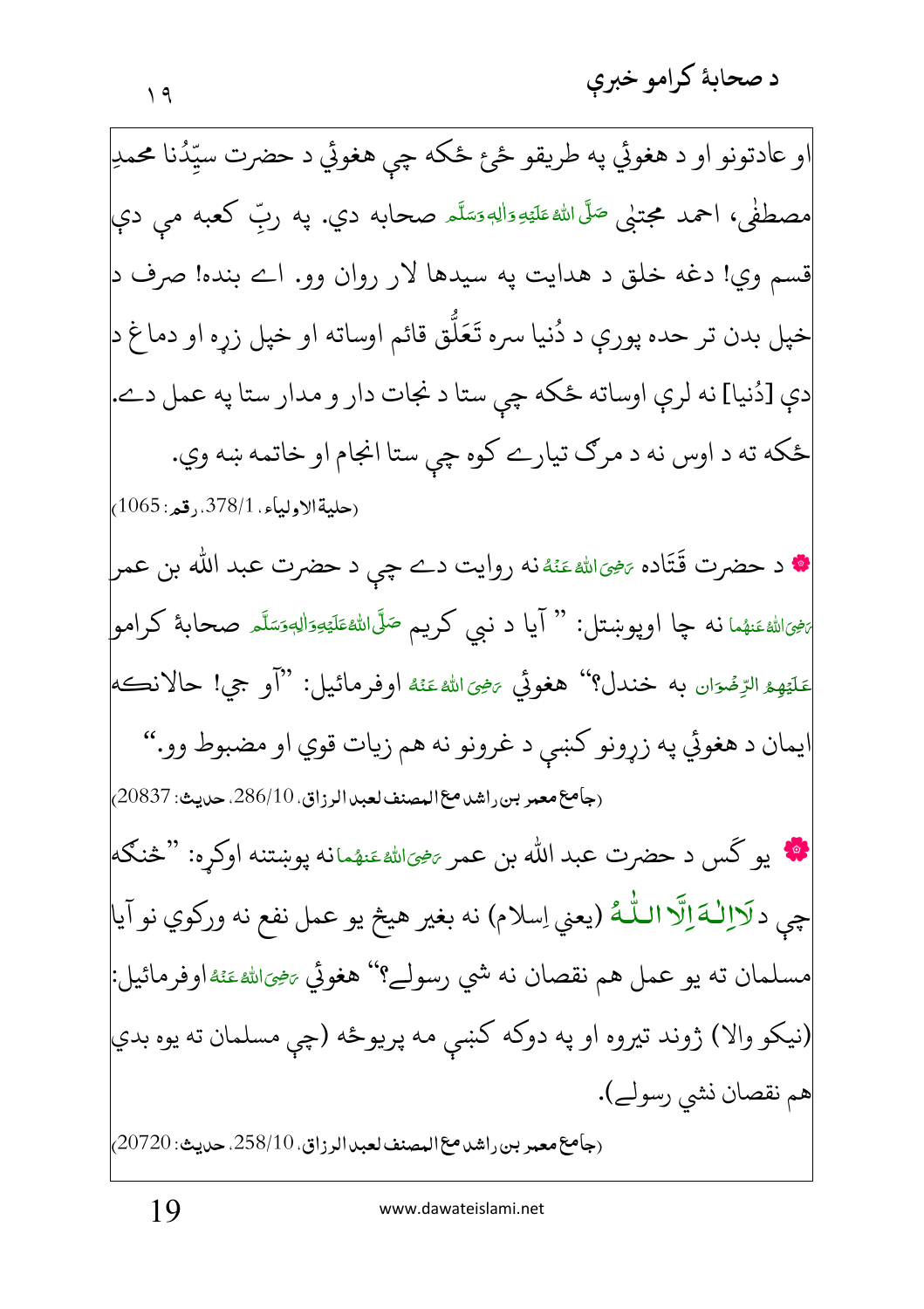او عادتونو او د هغوئي په طريقو ځئ ځکه چي هغوئي د حضرت سيِّدُنا محمدِ مصطفٰی، احمد مجتنی صَلَّىاللهٔ عَلَيْهِ وَاللهِ وَسَلَّمَ صحابه دی. یه ربّ کعبه می دی قسم وي! دغه خلق د هدايت په سيدها لار روان وو. اے بنده! صرف د خپل بدن تر حده پورې د دُنيا سره تَعَلُّق قائم اوساته او خپل زړه او دماغ د| دي [دُنيا] نه لري اوساته ځکه چې ستا د نجات دار و مدار ستا په عمل دے.| ځکه ته د اوس نه د مرګ تيارے کوه چې ستا انجام او خاتمه ښه وي. (حليةالاولياء. 378/1.رقعه: 1065) **\*** د حضرت قَتَاده <sub><sup>تخِي</sup>َالله عَنُهُنه روايت دے چي د حضرت عبد الله بن عمر</sub> ئ<sup>يوپ</sup>اللهءَنهُما نـه چا اوپوښتل: " آيا د نبي کريـم <sup>صَلَى</sup>اللهءَلَمَةِيهِوَاللهوَسَلَّـم صحابـهٔ کرامو مَلَيْهِمُ الرِّضُوَانِ به خندل؟'' هغوئي يَضِيَاللهُ عَنْهُ اوفرمائيل: ''أَو جي! حالانڪه ايمان د هغوئي په زړونو كښى د غرونو نه هم زيات قوي او مضبوط وو." (جامع معمر بن راشد مع المصنف لعبد الرزاق، 286/10. حديث: 20837) نگه یو کَس د حضرت عبد الله بن عمر ﷺعَنهٔمانه یوښتنه اوکره: "څنګه| چي دكِّالْـهَ اِلَّا الـلُّـهُ (يعني اِسلام) نه بغير هيڅ يو عمل نفع نه وركوي نو آيا مسلمان ته يو عمل هم نقصان نه شي رسولے؟'' هغوئي پهچهاللهءَئه اوفرمائيل: (نيکو والا) ژوند تيروه او په دوکه کښي مه پريوځه (چې مسلمان ته يوه بدي هم نقصان نشي رسولے). (جامع معمر بن راشد مع المصنف لعبد الرزاق. 258/10. حديث: 20720)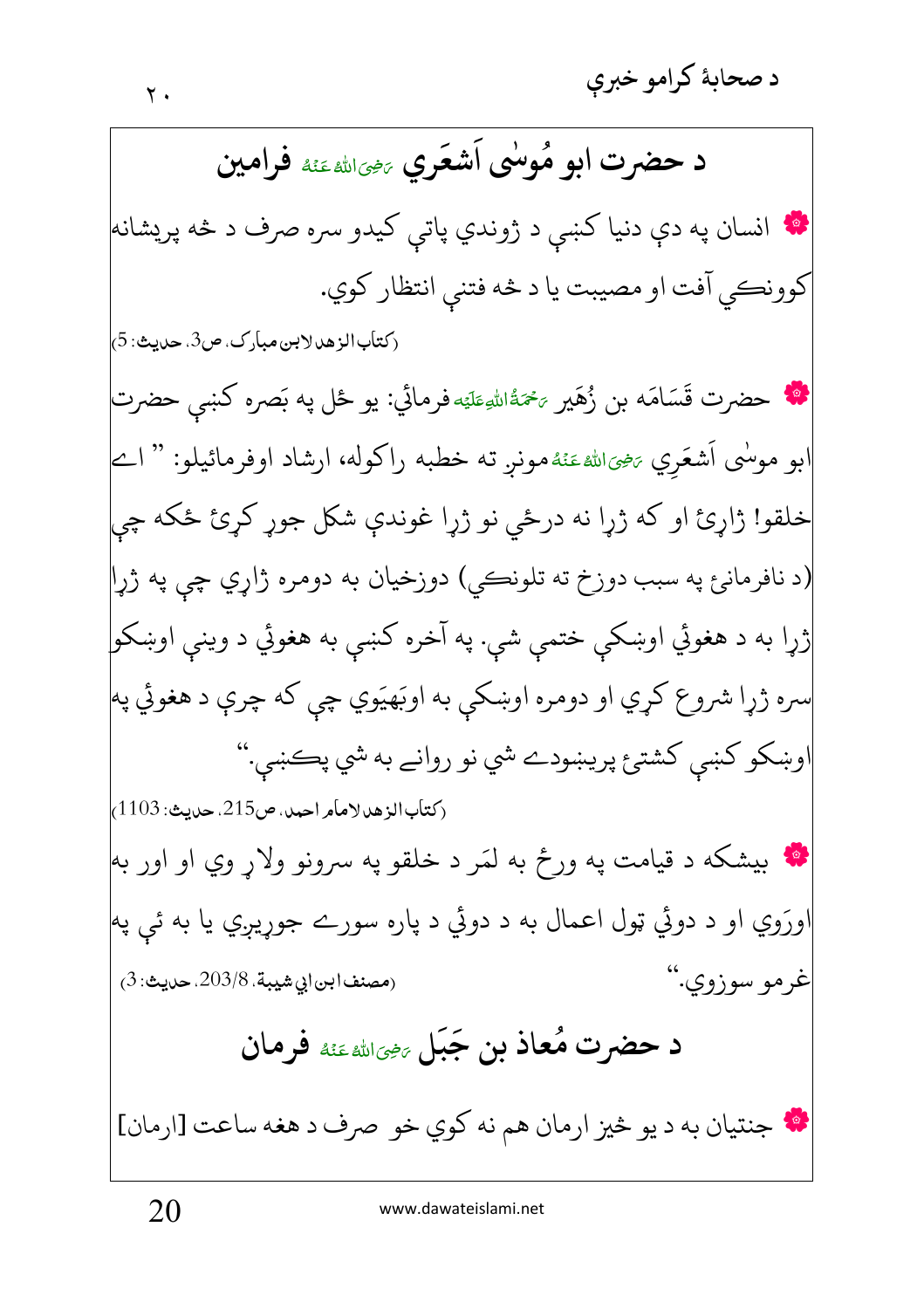د حضرت ابو مُوسٰى اَشعَرِي ﷺ فَوامِين ۲۰ انسان په دې دنيا کښې د ژوندي پات<sub>ي</sub> کيدو سره صرف د څه پريشانه کوونڪي آفت او مصيبت يا د څه فتني انتظار کوي. (كتأب الزهد لابن مبارك، ص3، حديث: 5) \*\* حضرت قَسَامَه بن زُهَير ﷺ اللهِطَيَه فرمائي: يو ځل په بَصره کښى حضرت ابو موسٰى اَشعَري ﷺ عَنۡهُ مونر ته خطبه راكوله، ارشاد اوفرمائيلو: " اے خلقو! ژاړئ او که ژړا نه درځي نو ژړا غوندې شکل جوړ کړئ ځکه چي (د نافرمانئ په سبب دوزخ ته تلونڪي) دوزخيان به دومره ژاړي چي په ژړا ژړا به د هغوئي اوښکي ختمې شي. په آخره کښې به هغوئي د وينې اوښکو| سره ژړا شروع کړي او دومره اوښکې به اوبَهيَوي چې که چرې د هغوئي په اوښکو کښي کشتئ پريښودے شي نو روانے به شي پڪښي." (كتاب الزهد لامام احمد، ص215. حديث: 1103، **په** بيشکه د قيامت په ورځ به لمَر د خلقو په سرونو ولاړ وي او اور به ورَوي او د دوئي ټول اعمال به د دوئي د پاره سورے جوړيږي يا به ئې په غرمو سوزوي."  $(3.203/8.203/8)$ مصنف ابن ابي شيبة. د حضرت مُعاذ بن جَبَل ﷺ فرمان \* جنتيان به د يو څيز ارمان هم نه كوي خو صرف د هغه ساعت [ارمان]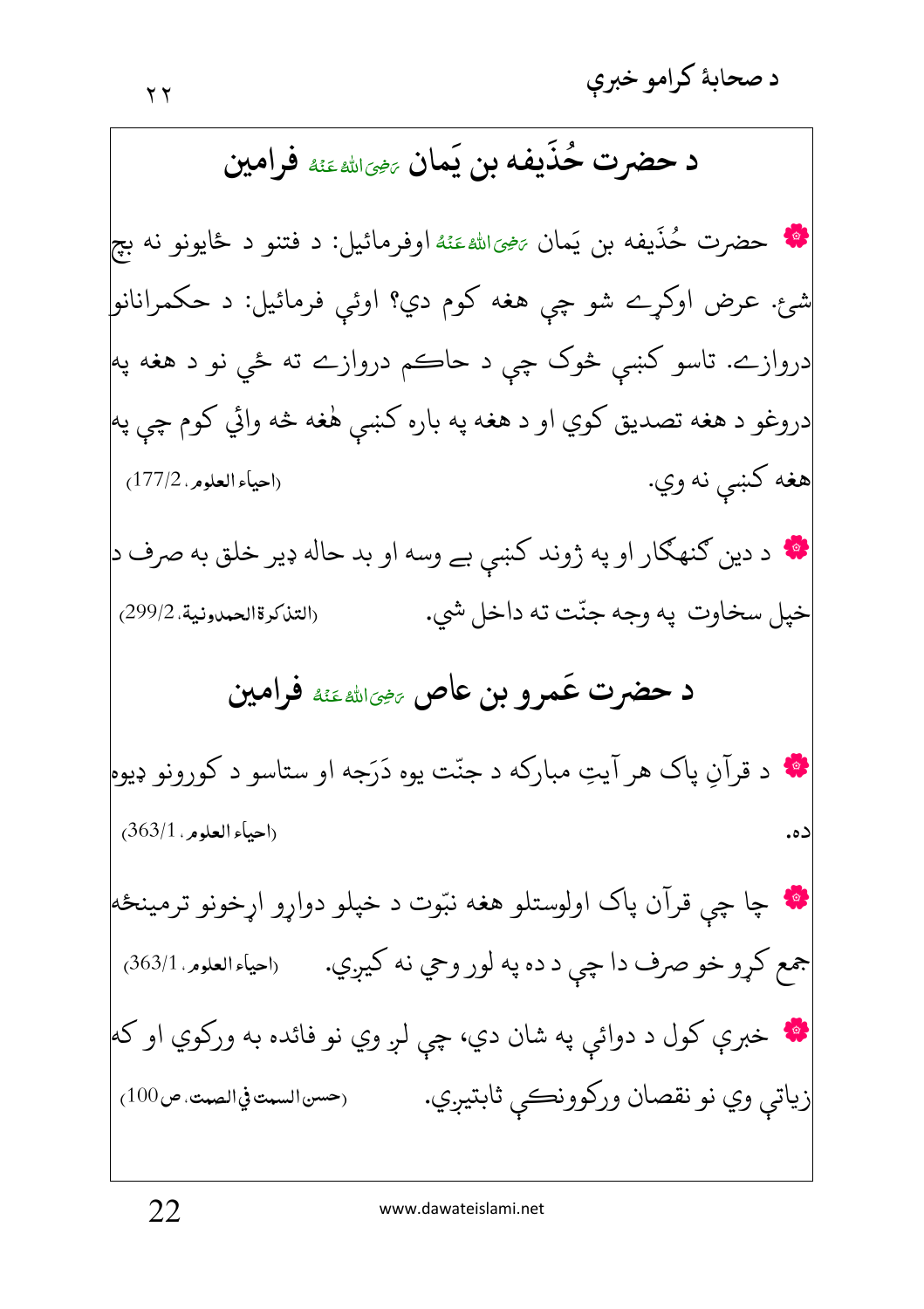د حضرت حُذَيفه بن يَمان ﷺ غَنْهُ فَرامين **په** حضرت حُذَيفه بن يَمان ﷺعَنْهُ اوفرمائيل: د فتنو د ځايونو نه بچ شئ. عرض اوکړے شو چې هغه کوم دي؟ اوئې فرمائيل: د حکمرانانو| دروازے. تاسو کښي څوک چې د حاڪم دروازے ته ځې نو د هغه په| دروغو د هغه تصديق كوي او د هغه په باره كښې هٰغه څه وائي كوم چې په هغه کښې نه وي. (احياء العلوم . 177/2) \* د دین ګنهګار او په ژوند کښې بے وسه او بد حاله ډیر خلق به صرف د| خيل سخاوت په وجه جنّت ته داخل شي. (التذكرة الحمدونية، 299/2) د حضرت عَمرو بن عاص ﷺ فوامين **په** د قرآنِ پاک هر آيتِ مبارکه د جنّت يوه دَرَجه او ستاسو د کورونو ډيوه (احياء العلوم ، 363/1) ده. **په** چا چې قرآن پاک اولوستلو هغه نېّوت د خپلو دواړو اړخونو ترمينځه جمع کړو خو صرف دا چې د ده په لور وحي نه کيږي. (احياءالعلوم 363/1) \* خبرې کول د دوائې په شان دي، چې لږ وي نو فائده به ورکوي او که زياتي وي نو نقصان وركوونكي ثابتيږي. (حسن السمت في الصمت، ص100)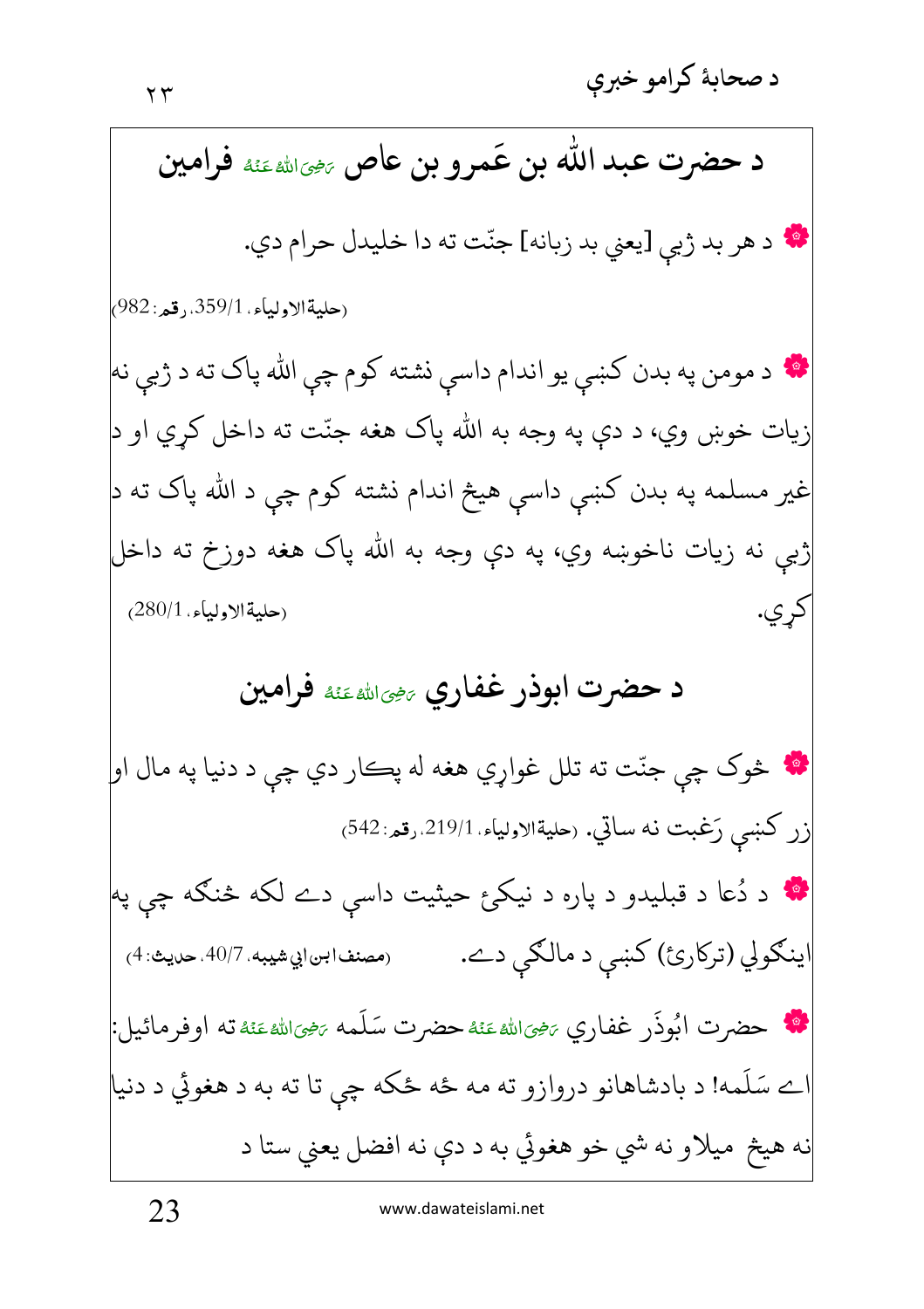د حضرت عبد الله بن عَمرو بن عاص ﷺ غَنْهُ فَرامين \* د هر بد ژبي [يعني بد زبانه] جنّت ته دا خليدل حرام دي. (حليةالاولياء. 359/1. رقم: 982<sub>)</sub> ۰۰ د مومن په بدن کښې يو اندام داسې نشته کوم چې الله پاک ته د ژبې نه زيات خوښ وي، د دې په وجه به الله پاک هغه جنّت ته داخل کړي او د| غیر مسلمه په بدن کښي داسې هیڅ اندام نشته کوم چې د الله پاک ته د ژبې نه زيات ناخوښه وي، په دې وجه به الله پاک هغه دوزخ ته داخل (حليةالاولياء. 280/1) کر ي. د حضرت ابوذر غفاري <sub>عضالله عَنْهُ</sub> فرامين **په** څوک چې جنّت ته تلل غواړي هغه له پڪار دي چې د دنيا په مال او زر كښى رَغبت نه ساتي. رحليةالاولياء. 219/1.رقم: 542) **\*** د دُعا د قبليدو د پاره د نيکئ حيثيت داسې دے لکه څنګه چې په اينګولي (ترکارئ) کښې د مالګي دے. (مصنف ابن|بي شيبه. 40/7. حديث: 4) **الله حضرت ابُوذَر غفاري** ﷺ عَنْهُحضرت سَلَمه ﷺ عَنْهُ تَهُ اوفرمائيل: ے سَلَمه! د بادشاهانو دروازو ته مه ځه ځکه چې تا ته به د هغوئي د دنيا نه هيڅ ميلاو نه شي خو هغوئي به د دې نه افضل يعني ستا د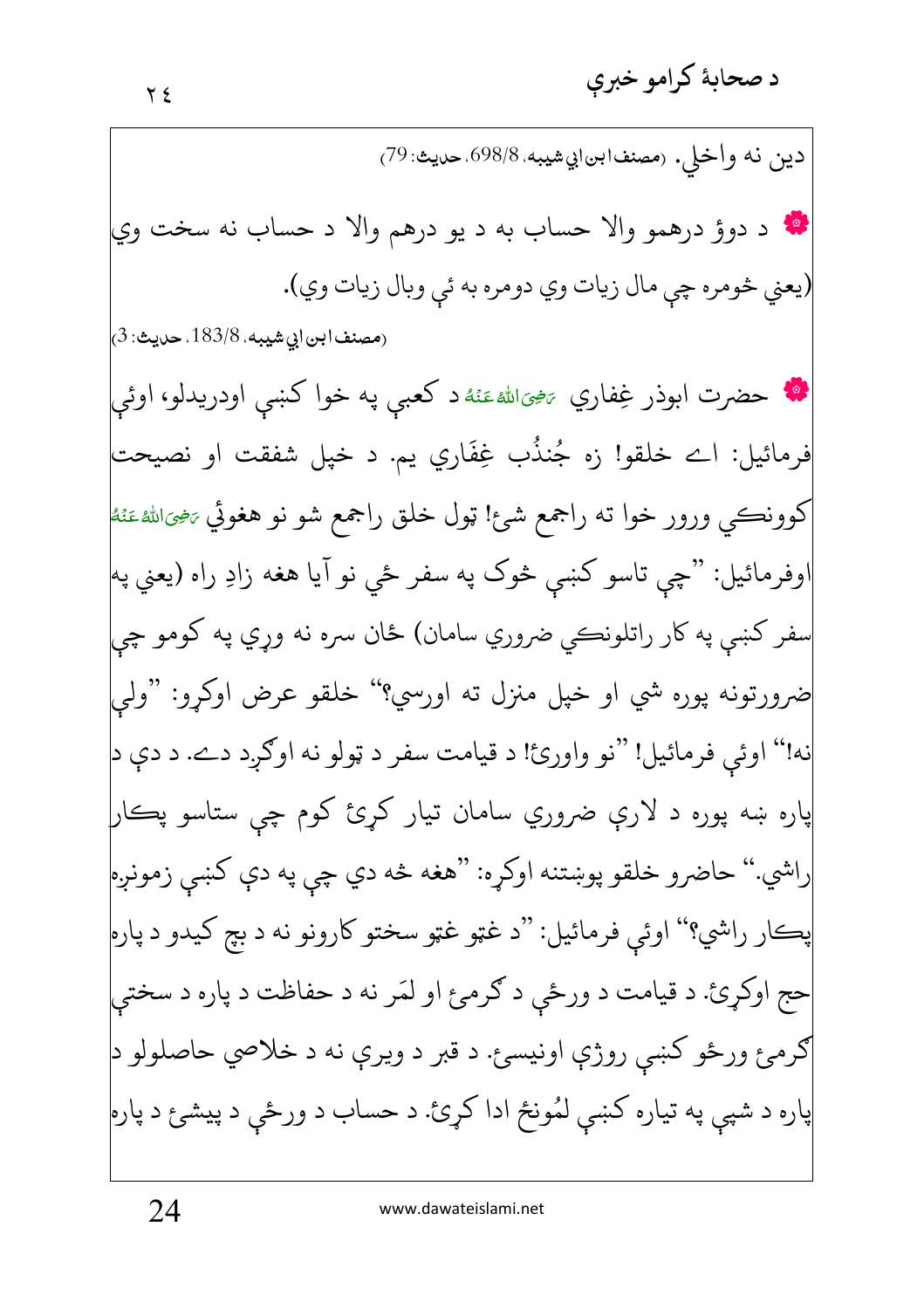دين نه واخلي. رمصنف ابن ابي شيبه. 698/8. حديث: 79) • د دوؤ درهمو والا حساب به د يو درهم والا د حساب نه سخت وي (يعني څومره چي مال زيات وي دومره به ئي وبال زيات وي). (مصنفابن|بي شيبه، 183/8. حديث: 3) **په حضرت ابوذر غِفاري** <sub>تَ</sub>خِيَالله عَنْهُ د کعبي په خوا کښې اودريدلو، اوئي فرمائيل: اے خلقو! زه جُنذُب غِفَاري يم. د خپل شفقت او نصيحت| کوونڪي ورور خوا ته راجمع شئ! ټول خلق راجمع شو نو هغوئي <sub>تنځالل</sub>هءَنۀ اوفرمائيل: "چي تاسو کښي څوک په سفر ځي نو آيا هغه زادِ راه (يعني په سفر کښې په کار راتلونڪي ضروري سامان) ځان سره نه وړي په کومو چي ضرورتونه پوره شي او خپل منزل ته اورسي؟'' خلقو عرض اوکړو: "ولمي نه!" اوئي فرمائيل! "نو واورئ! د قيامت سفر د ټولو نه اوګرد دے. د دې د| پاره ښه پوره د لارې ضروري سامان تيار کرئ کوم چې ستاسو پڪار راشي." حاضرو خلقو پوښتنه اوکړه: "هغه څه دي چې په دې کښې زمونږه| پڪار راشي؟" اوئي فرمائيل: "د غټو غټو سختو کارونو نه د بچ کيدو د پاره حج اوکړئ. د قيامت د ورځي د ګرمئ او لمَر نه د حفاظت د پاره د سختي |ګرمئ ورځو کښي روژې اونيسئ. د قبر د ويرې نه د خلاصي حاصلولو د| پاره د شپي په تياره کښي لمُونځ ادا کړئ. د حساب د ورځي د پيشئ د پاره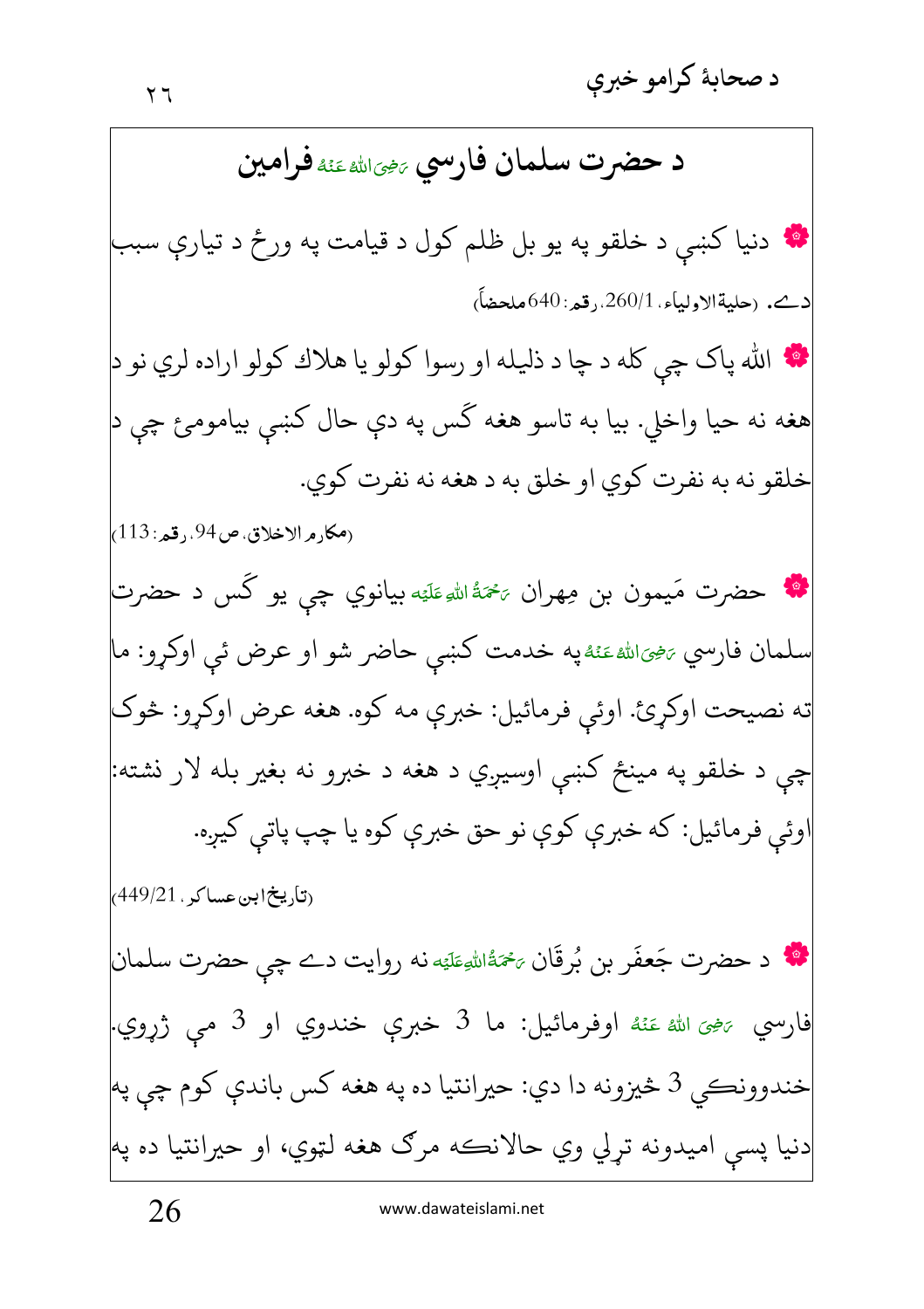د حضرت سلمان فارسي پههالله عَنْهُ فَرامين **په** دنيا کښې د خلقو په يو بل ظلم کول د قيامت په ورځ د تيارې سبب دمے. (حليةالاولياء، 260/1. قعر: 640ملحضاً) **په** الله پاک چي کله د چا د ذليله او رسوا کولو يا هلاك کولو اراده لري نو د هغه نه حيا واخلي. بيا به تاسو هغه گس په دې حال کښې بيامومئ چې د خلقو نه به نفرت کوي او خلق به د هغه نه نفرت کوي. (مكا, م الإخلاق، ص94., قم: 113) لگه حضرت مَيمون بن مِهران ﷺ علي<sub>ّ</sub>ه بيانوي چي يو گس د حضرت سلمان فارسي <sub><sup>يرمجى</sup>اللهءَئهْ په خدمت كښى حاضر شو او عرض ئي اوكړو: ما</sub> ته نصيحت اوكړئ. اوئي فرمائيل: خبرې مه كوه. هغه عرض اوكړو: څوك چې د خلقو په مينځ کښې اوسيږي د هغه د خبرو نه بغير بله لار نشته: اوئې فرمائيل: كه خبرې كوې نو حق خبرې كوه يا چپ پاتې كيږه. <sub>(</sub>تاریخ ابن عساکر ، 449/21<sub>)</sub> **په د** حضرت جَعفَر بن بُرقَان ﷺ نه روايت دے چې حضرت سلمان فارسي چهِيَ اللهُ عَنْهُ اوفرمائيل: ما 3 خبري خندوي او 3 مي ژروي. خندوونڪي 3 څيزونه دا دي: حيرانتيا ده په هغه کس باندې کوم چي په دنيا پسې اميدونه تړلي وي حالانڪه مرګ هغه لټوي، او حيرانتيا ده په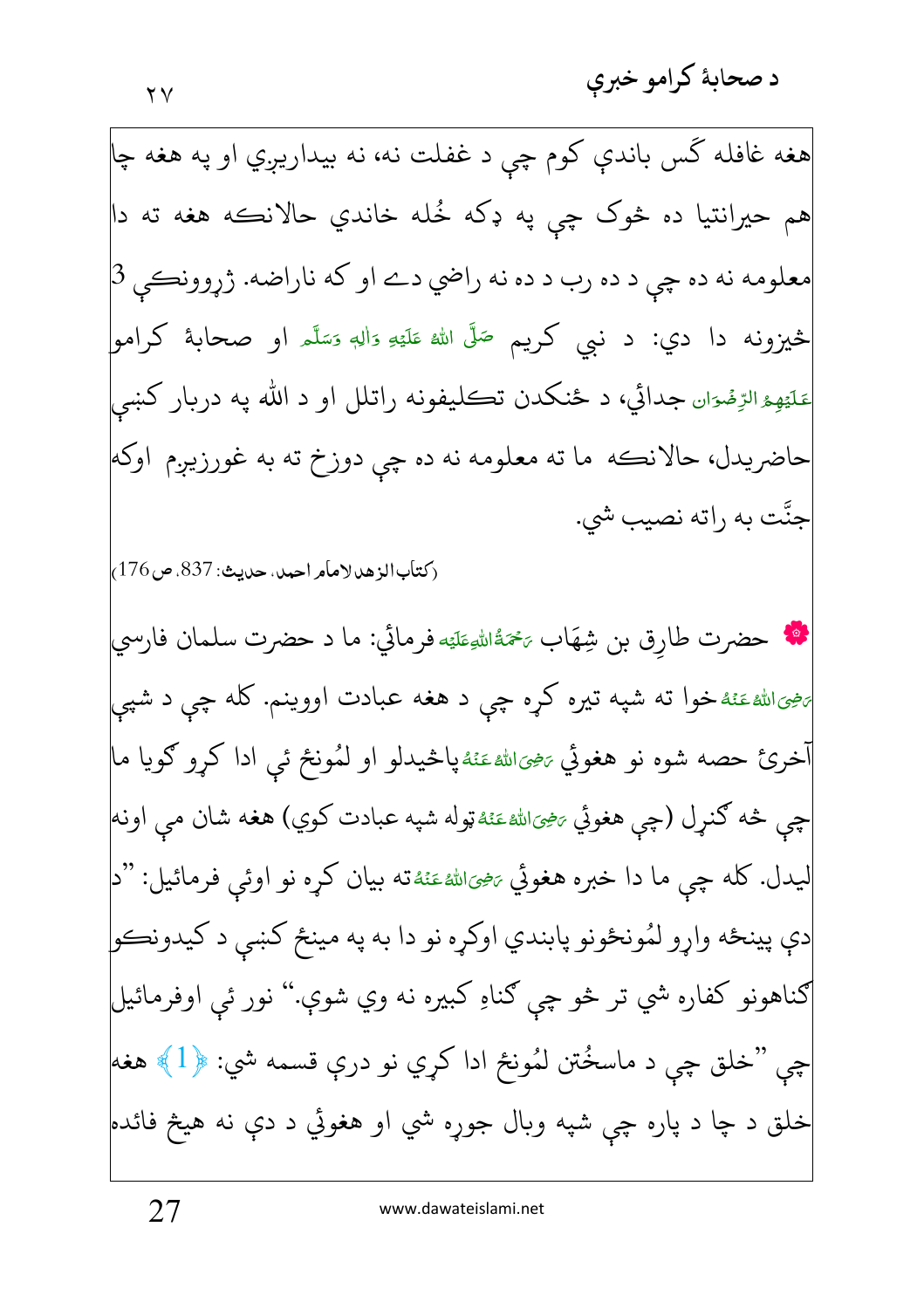هغه غافله گس باندې کوم چې د غفلت نه، نه بيداريږي او په هغه چا هم حيرانتيا ده څوک چې په ډکه خُله خاندي حالانڪه هغه ته دا معلومه نه ده چي د ده رب د ده نه راضي دے او كه ناراضه. ژړوونكى 3 څيزونه دا دي: د نبي کريم <sup>صَلَّى الله عَلَيْهِ وَاللهٖ وَسَلَّمَ او صحابهٔ کرامو</sup> مَلَيْهِءُالرِّضۡوَان جدائي، د ځنکدن تڪليفونه راتلل او د الله په دربار کښی حاضريدل، حالانڪه ما ته معلومه نه ده چې دوزخ ته به غورزيږم اوكه| جنَّت به راته نصیب شي. (كتاب الزهد لإمام احمد، حديث: 837، ص176) لَهُمْ حضرت طارق بن شِهَاب ﷺ فرمائي: ما د حضرت سلمان فارسي پرهيزاللهءَنهٔخوا ته شپه تيره کړه چې د هغه عبادت اووينم. کله چې د شپې نخرئ حصه شوه نو هغوئي ﷺ پاڅيدلو او لُمُونځ ئې ادا کرو ګويا ما چي څه ګنړل (چي هغوئي <sub>تَ</sub>ضِيَالله عَنَهُټوله شپه عبادت کوي) هغه شان مي اونه ليدل. كله چي ما دا خبره هغوئي <sub>تنح</sub>ىاللهءَنه ته بيان كړه نو اوئي فرمائيل: "د| دې پينځه وارو لمُونځونو پابندي اوكړه نو دا به په مينځ كښى د كيدونكو ګناهونو کفاره شي تر څو چې ګناو کبيره نه وي شوې.'' نور ئې اوفرمائيل چې "خلق چې د ماسځُتن لمُونځ ادا کړي نو درې قسمه شي: ﴿1﴾ هغه خلق د چا د پاره چي شپه وبال جوړه شي او هغوئي د دې نه هيڅ فائده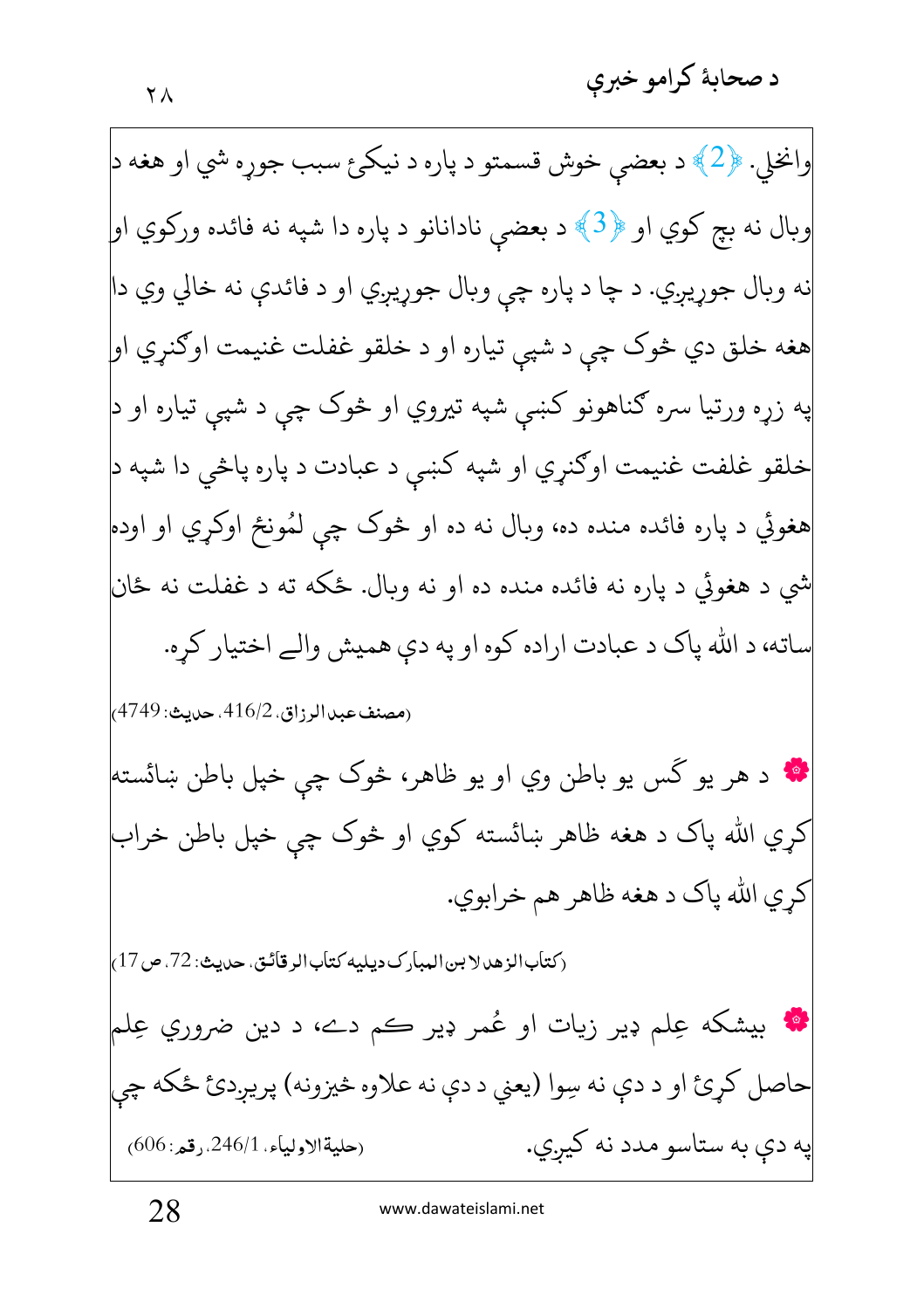وانخلي. ﴿2﴾ د بعضي خوش قسمتو د پاره د نيكئ سبب جوړه شي او هغه د وبال نه بچ كوي او ﴿3﴾ د بعضي نادانانو د پاره دا شپه نه فائده وركوي او| نه وبال جوړيږي. د چا د پاره چي وبال جوړيږي او د فائدې نه خالي وي دا هغه خلق دي څوک چي د شپي تياره او د خلقو غفلت غنيمت اوګنړي او په زړه ورتيا سره ګناهونو کښې شپه تيروي او څوک چې د شپې تياره او د خلقو غلفت غنيمت اوګنړي او شپه کښي د عبادت د پاره پاڅي دا شپه د| هغوئي د پاره فائده منده ده، وبال نه ده او څوک چې لمُونځ اوکړي او اوده شي د هغوئي د پاره نه فائده منده ده او نه وبال. ځکه ته د غفلت نه ځان ماته، د الله ياک د عبادت اراده کوه او په دې هميش والے اختيار کره. (مصنف عبدالرزاق، 416/2، حديث: 4749، **په** د هر يو گس يو باطن وي او يو ظاهر، څوک چي خپل باطن ښائسته<mark>!</mark> کري الله پاک د هغه ظاهر ښائسته کوي او څوک چې خپل باطن خراب كري الله پاك د هغه ظاهر هم خرابوي. (كتابالزهدلا بن المبارك ديليه كتابالر قائتي، حديث: 72، ص17) **په** بيشکه عِلم ډير زيات او عُمر ډير ڪم دے، د دين ضروري عِلم حاصل کړئ او د دې نه سِوا (يعني د دې نه علاوه څيزونه) پريږدئ ځکه چې په دې به ستاسو مدد نه کيږي. (حليةالإولياء، 246/1. رقعه: 606)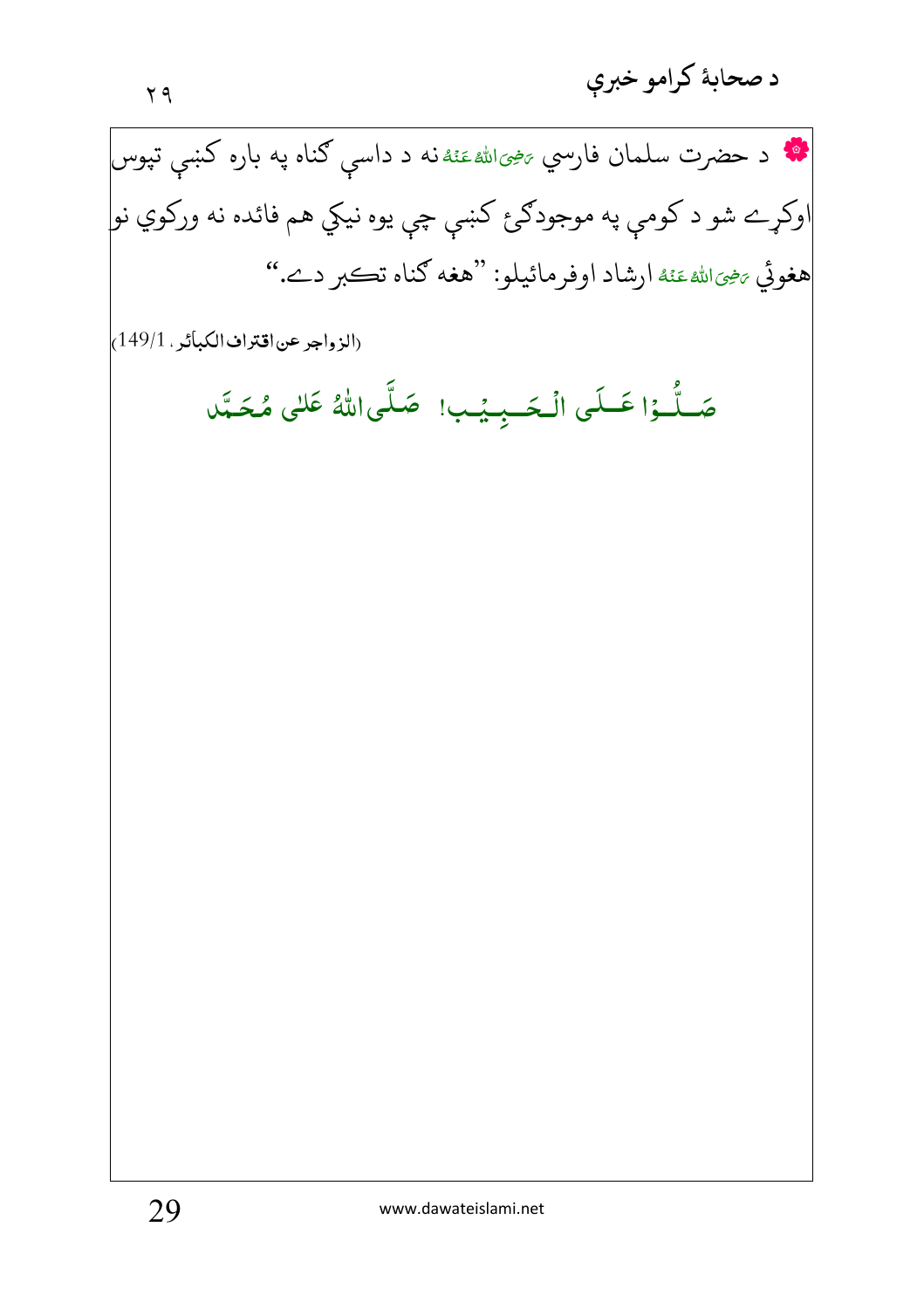د صحابهٔ کرامو خبرې

**په د حضرت سلمان فار**سي <sub>تخ</sub>یراللهءَئه د داسې ګناه په باره کښې تپوس -Ê j -اوکړے شو د کومې په موجودګرئ کښې چې يوه نيکي هم فائده نه ورکوي نو| هغوئي <sub>تَ</sub>خِيَ الله عَنْهُ ارشاد اوفرمائيلو: ''هغه كناه تڪبر دے.'' --Í -

(الزواجر عن اقتراف الكبائر ، 149/1)

صَــلَّــوُا عَــلَى الْـحَــبِـيـْـب! ۖ صَـلَّى اللهُ عَلنى مُـحَـبَّد <u>ٔ</u> ֦֦֦֦֦֧֧֦֧֚֚֡֝֝֝֝֬֟֓֟֓֡֓֟֓֝֬֟֓֟֓֟֓֟֓֟֓֡֟֓֟֓֡֟֓֟